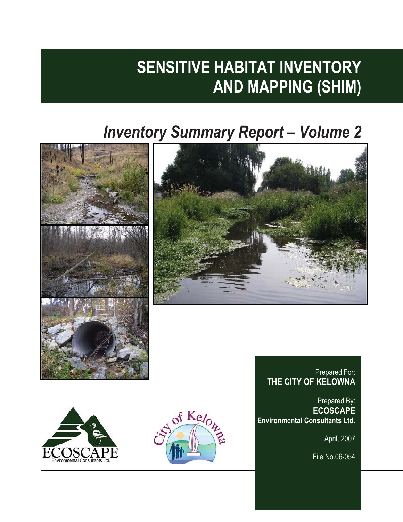# **SENSITIVE HABITAT INVENTORY AND MAPPING (SHIM)**

# *Inventory Summary Report – Volume 2*





# Prepared For: **THE CITY OF KELOWNA**

Prepared By: **ECOSCAPE Environmental Consultants Ltd.**

April, 2007

File No.06-054



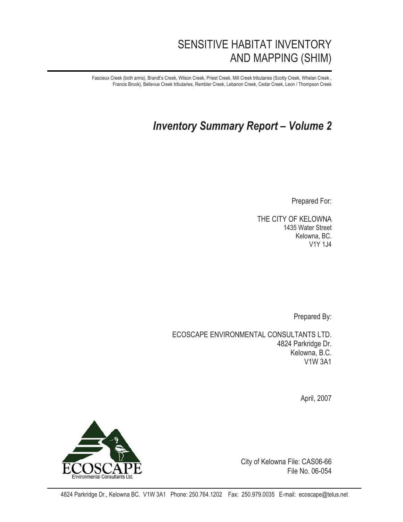# SENSITIVE HABITAT INVENTORY AND MAPPING (SHIM)

Fascieux Creek (both arms), Brandt's Creek, Wilson Creek, Priest Creek, Mill Creek tributaries (Scotty Creek, Whelan Creek , Francis Brook), Bellevue Creek tributaries, Rembler Creek, Lebanon Creek, Cedar Creek, Leon / Thompson Creek

# *Inventory Summary Report – Volume 2*

Prepared For:

THE CITY OF KELOWNA 1435 Water Street Kelowna, BC. V1Y 1J4

Prepared By:

ECOSCAPE ENVIRONMENTAL CONSULTANTS LTD. 4824 Parkridge Dr. Kelowna, B.C. V1W 3A1

April, 2007



City of Kelowna File: CAS06-66 File No. 06-054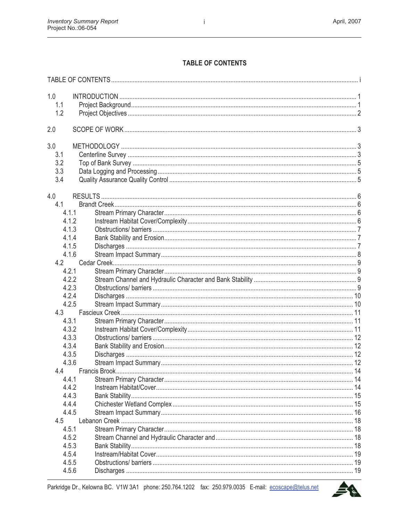# TABLE OF CONTENTS

| 1.0   |  |
|-------|--|
| 1.1   |  |
| 1.2   |  |
|       |  |
| 2.0   |  |
| 3.0   |  |
| 3.1   |  |
| 3.2   |  |
| 3.3   |  |
| 3.4   |  |
|       |  |
| 4.0   |  |
| 4.1   |  |
| 4.1.1 |  |
| 4.1.2 |  |
| 4.1.3 |  |
| 4.1.4 |  |
| 4.1.5 |  |
| 4.1.6 |  |
| 4.2   |  |
| 4.2.1 |  |
| 4.2.2 |  |
| 4.2.3 |  |
| 4.2.4 |  |
| 4.2.5 |  |
| 4.3   |  |
| 4.3.1 |  |
| 4.3.2 |  |
| 4.3.3 |  |
| 4.3.4 |  |
| 4.3.5 |  |
| 4.3.6 |  |
| 4.4   |  |
| 4.4.1 |  |
| 4.4.2 |  |
| 4.4.3 |  |
| 4.4.4 |  |
| 4.4.5 |  |
| 4.5   |  |
| 4.5.1 |  |
| 4.5.2 |  |
| 4.5.3 |  |
| 4.5.4 |  |
| 4.5.5 |  |
| 4.5.6 |  |
|       |  |

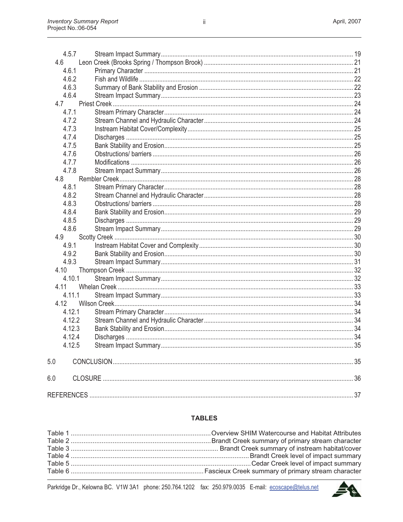| 4.6<br>4.6.1<br>4.6.2<br>4.6.3<br>4.6.4<br>4.7<br>4.7.1<br>4.7.2<br>4.7.3<br>4.7.4<br>4.7.5<br>4.7.6<br>4.7.7<br>4.7.8<br>4.8<br>4.8.1<br>4.8.2<br>4.8.3<br>4.8.4<br>4.8.5<br>4.8.6<br>4.9<br>4.9.1<br>4.9.2<br>4.9.3<br>4.10<br>4.10.1<br>4.11<br>4.11.1<br>4.12<br>4.12.1<br>4.12.2<br>4.12.3<br>4.12.4<br>4.12.5<br>5.0<br>6.0 | 4.5.7 |  |
|-----------------------------------------------------------------------------------------------------------------------------------------------------------------------------------------------------------------------------------------------------------------------------------------------------------------------------------|-------|--|
|                                                                                                                                                                                                                                                                                                                                   |       |  |
|                                                                                                                                                                                                                                                                                                                                   |       |  |
|                                                                                                                                                                                                                                                                                                                                   |       |  |
|                                                                                                                                                                                                                                                                                                                                   |       |  |
|                                                                                                                                                                                                                                                                                                                                   |       |  |
|                                                                                                                                                                                                                                                                                                                                   |       |  |
|                                                                                                                                                                                                                                                                                                                                   |       |  |
|                                                                                                                                                                                                                                                                                                                                   |       |  |
|                                                                                                                                                                                                                                                                                                                                   |       |  |
|                                                                                                                                                                                                                                                                                                                                   |       |  |
|                                                                                                                                                                                                                                                                                                                                   |       |  |
|                                                                                                                                                                                                                                                                                                                                   |       |  |
|                                                                                                                                                                                                                                                                                                                                   |       |  |
|                                                                                                                                                                                                                                                                                                                                   |       |  |
|                                                                                                                                                                                                                                                                                                                                   |       |  |
|                                                                                                                                                                                                                                                                                                                                   |       |  |
|                                                                                                                                                                                                                                                                                                                                   |       |  |
|                                                                                                                                                                                                                                                                                                                                   |       |  |
|                                                                                                                                                                                                                                                                                                                                   |       |  |
|                                                                                                                                                                                                                                                                                                                                   |       |  |
|                                                                                                                                                                                                                                                                                                                                   |       |  |
|                                                                                                                                                                                                                                                                                                                                   |       |  |
|                                                                                                                                                                                                                                                                                                                                   |       |  |
|                                                                                                                                                                                                                                                                                                                                   |       |  |
|                                                                                                                                                                                                                                                                                                                                   |       |  |
|                                                                                                                                                                                                                                                                                                                                   |       |  |
|                                                                                                                                                                                                                                                                                                                                   |       |  |
|                                                                                                                                                                                                                                                                                                                                   |       |  |
|                                                                                                                                                                                                                                                                                                                                   |       |  |
|                                                                                                                                                                                                                                                                                                                                   |       |  |
|                                                                                                                                                                                                                                                                                                                                   |       |  |
|                                                                                                                                                                                                                                                                                                                                   |       |  |
|                                                                                                                                                                                                                                                                                                                                   |       |  |
|                                                                                                                                                                                                                                                                                                                                   |       |  |
|                                                                                                                                                                                                                                                                                                                                   |       |  |
|                                                                                                                                                                                                                                                                                                                                   |       |  |
|                                                                                                                                                                                                                                                                                                                                   |       |  |
|                                                                                                                                                                                                                                                                                                                                   |       |  |

#### **TABLES**

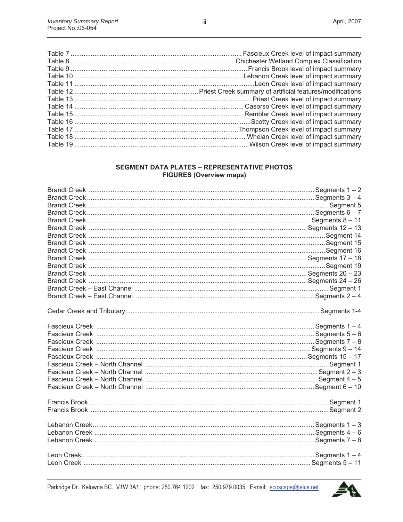#### **SEGMENT DATA PLATES - REPRESENTATIVE PHOTOS FIGURES (Overview maps)**

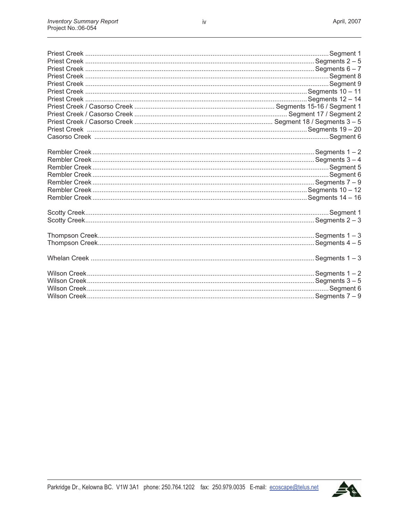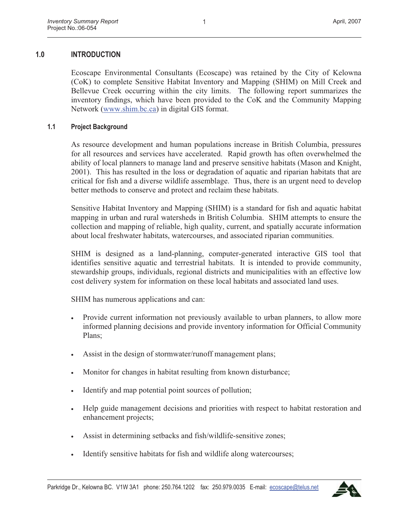# **1.0 INTRODUCTION**

Ecoscape Environmental Consultants (Ecoscape) was retained by the City of Kelowna (CoK) to complete Sensitive Habitat Inventory and Mapping (SHIM) on Mill Creek and Bellevue Creek occurring within the city limits. The following report summarizes the inventory findings, which have been provided to the CoK and the Community Mapping Network (www.shim.bc.ca) in digital GIS format.

#### **1.1 Project Background**

As resource development and human populations increase in British Columbia, pressures for all resources and services have accelerated. Rapid growth has often overwhelmed the ability of local planners to manage land and preserve sensitive habitats (Mason and Knight, 2001). This has resulted in the loss or degradation of aquatic and riparian habitats that are critical for fish and a diverse wildlife assemblage. Thus, there is an urgent need to develop better methods to conserve and protect and reclaim these habitats.

Sensitive Habitat Inventory and Mapping (SHIM) is a standard for fish and aquatic habitat mapping in urban and rural watersheds in British Columbia. SHIM attempts to ensure the collection and mapping of reliable, high quality, current, and spatially accurate information about local freshwater habitats, watercourses, and associated riparian communities.

SHIM is designed as a land-planning, computer-generated interactive GIS tool that identifies sensitive aquatic and terrestrial habitats. It is intended to provide community, stewardship groups, individuals, regional districts and municipalities with an effective low cost delivery system for information on these local habitats and associated land uses.

SHIM has numerous applications and can:

- Provide current information not previously available to urban planners, to allow more informed planning decisions and provide inventory information for Official Community Plans;
- Assist in the design of stormwater/runoff management plans;
- Monitor for changes in habitat resulting from known disturbance;
- Identify and map potential point sources of pollution;
- Help guide management decisions and priorities with respect to habitat restoration and enhancement projects;
- Assist in determining setbacks and fish/wildlife-sensitive zones;
- Identify sensitive habitats for fish and wildlife along watercourses;

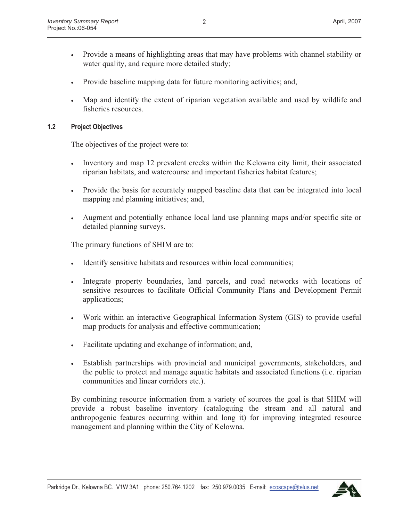- Provide a means of highlighting areas that may have problems with channel stability or water quality, and require more detailed study;
- Provide baseline mapping data for future monitoring activities; and,
- Map and identify the extent of riparian vegetation available and used by wildlife and fisheries resources.

#### **1.2 Project Objectives**

The objectives of the project were to:

- Inventory and map 12 prevalent creeks within the Kelowna city limit, their associated riparian habitats, and watercourse and important fisheries habitat features;
- Provide the basis for accurately mapped baseline data that can be integrated into local mapping and planning initiatives; and,
- Augment and potentially enhance local land use planning maps and/or specific site or detailed planning surveys.

The primary functions of SHIM are to:

- Identify sensitive habitats and resources within local communities;
- Integrate property boundaries, land parcels, and road networks with locations of sensitive resources to facilitate Official Community Plans and Development Permit applications;
- Work within an interactive Geographical Information System (GIS) to provide useful map products for analysis and effective communication;
- Facilitate updating and exchange of information; and,
- Establish partnerships with provincial and municipal governments, stakeholders, and the public to protect and manage aquatic habitats and associated functions (i.e. riparian communities and linear corridors etc.).

By combining resource information from a variety of sources the goal is that SHIM will provide a robust baseline inventory (cataloguing the stream and all natural and anthropogenic features occurring within and long it) for improving integrated resource management and planning within the City of Kelowna.

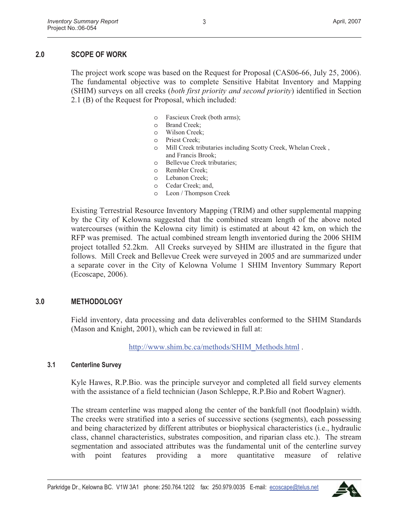# **2.0 SCOPE OF WORK**

The project work scope was based on the Request for Proposal (CAS06-66, July 25, 2006). The fundamental objective was to complete Sensitive Habitat Inventory and Mapping (SHIM) surveys on all creeks (*both first priority and second priority*) identified in Section 2.1 (B) of the Request for Proposal, which included:

- o Fascieux Creek (both arms);
- o Brand Creek;
- o Wilson Creek;
- o Priest Creek;
- o Mill Creek tributaries including Scotty Creek, Whelan Creek , and Francis Brook;
- o Bellevue Creek tributaries;
- o Rembler Creek;
- o Lebanon Creek;
- o Cedar Creek; and,
- o Leon / Thompson Creek

Existing Terrestrial Resource Inventory Mapping (TRIM) and other supplemental mapping by the City of Kelowna suggested that the combined stream length of the above noted watercourses (within the Kelowna city limit) is estimated at about 42 km, on which the RFP was premised. The actual combined stream length inventoried during the 2006 SHIM project totalled 52.2km. All Creeks surveyed by SHIM are illustrated in the figure that follows. Mill Creek and Bellevue Creek were surveyed in 2005 and are summarized under a separate cover in the City of Kelowna Volume 1 SHIM Inventory Summary Report (Ecoscape, 2006).

# **3.0 METHODOLOGY**

Field inventory, data processing and data deliverables conformed to the SHIM Standards (Mason and Knight, 2001), which can be reviewed in full at:

http://www.shim.bc.ca/methods/SHIM\_Methods.html.

#### **3.1 Centerline Survey**

Kyle Hawes, R.P.Bio. was the principle surveyor and completed all field survey elements with the assistance of a field technician (Jason Schleppe, R.P.Bio and Robert Wagner).

The stream centerline was mapped along the center of the bankfull (not floodplain) width. The creeks were stratified into a series of successive sections (segments), each possessing and being characterized by different attributes or biophysical characteristics (i.e., hydraulic class, channel characteristics, substrates composition, and riparian class etc.). The stream segmentation and associated attributes was the fundamental unit of the centerline survey with point features providing a more quantitative measure of relative

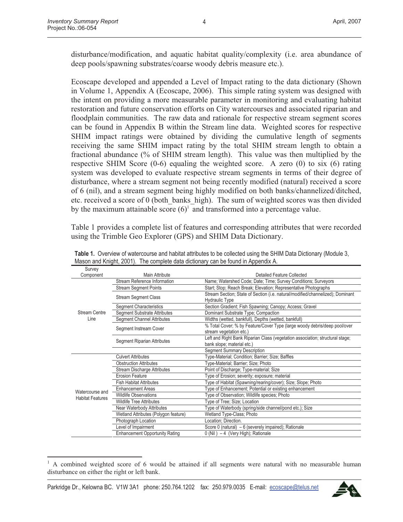disturbance/modification, and aquatic habitat quality/complexity (i.e. area abundance of deep pools/spawning substrates/coarse woody debris measure etc.).

Ecoscape developed and appended a Level of Impact rating to the data dictionary (Shown in Volume 1, Appendix A (Ecoscape, 2006). This simple rating system was designed with the intent on providing a more measurable parameter in monitoring and evaluating habitat restoration and future conservation efforts on City watercourses and associated riparian and floodplain communities. The raw data and rationale for respective stream segment scores can be found in Appendix B within the Stream line data. Weighted scores for respective SHIM impact ratings were obtained by dividing the cumulative length of segments receiving the same SHIM impact rating by the total SHIM stream length to obtain a fractional abundance (% of SHIM stream length). This value was then multiplied by the respective SHIM Score (0-6) equaling the weighted score. A zero (0) to six (6) rating system was developed to evaluate respective stream segments in terms of their degree of disturbance, where a stream segment not being recently modified (natural) received a score of 6 (nil), and a stream segment being highly modified on both banks/channelized/ditched, etc. received a score of 0 (both\_banks\_high). The sum of weighted scores was then divided by the maximum attainable score  $(6)^1$  and transformed into a percentage value.

Table 1 provides a complete list of features and corresponding attributes that were recorded using the Trimble Geo Explorer (GPS) and SHIM Data Dictionary.

| Survey                  |                                       |                                                                                |
|-------------------------|---------------------------------------|--------------------------------------------------------------------------------|
| Component               | Main Attribute                        | Detailed Feature Collected                                                     |
|                         | Stream Reference Information          | Name; Watershed Code; Date; Time; Survey Conditions; Surveyors                 |
|                         | <b>Stream Segment Points</b>          | Start; Stop; Reach Break; Elevation; Representative Photographs                |
|                         |                                       | Stream Section; State of Section (i.e. natural/modified/channelized); Dominant |
|                         | <b>Stream Segment Class</b>           | <b>Hydraulic Type</b>                                                          |
|                         | <b>Segment Characteristics</b>        | Section Gradient; Fish Spawning; Canopy; Access; Gravel                        |
| Stream Centre           | <b>Seament Substrate Attributes</b>   | Dominant Substrate Type: Compaction                                            |
| Line                    | <b>Segment Channel Attributes</b>     | Widths (wetted, bankfull), Depths (wetted, bankfull)                           |
|                         | Segment Instream Cover                | % Total Cover; % by Feature/Cover Type (large woody debris/deep pool/over      |
|                         |                                       | stream vegetation etc.)                                                        |
|                         | Segment Riparian Attributes           | Left and Right Bank Riparian Class (vegetation association; structural stage;  |
|                         |                                       | bank slope; material etc.)                                                     |
|                         |                                       | <b>Segment Summary Description</b>                                             |
|                         | <b>Culvert Attributes</b>             | Type-Material; Condition; Barrier; Size; Baffles                               |
|                         | <b>Obstruction Attributes</b>         | Type-Material; Barrier; Size; Photo                                            |
|                         | <b>Stream Discharge Attributes</b>    | Point of Discharge; Type-material; Size                                        |
|                         | <b>Erosion Feature</b>                | Type of Erosion; severity; exposure; material                                  |
|                         | <b>Fish Habitat Attributes</b>        | Type of Habitat (Spawning/rearing/cover); Size; Slope; Photo                   |
| Watercourse and         | <b>Enhancement Areas</b>              | Type of Enhancement; Potential or existing enhancement                         |
| <b>Habitat Features</b> | <b>Wildlife Observations</b>          | Type of Observation; Wildlife species; Photo                                   |
|                         | <b>Wildlife Tree Attributes</b>       | Type of Tree; Size; Location                                                   |
|                         | Near Waterbody Attributes             | Type of Waterbody (spring/side channel/pond etc.); Size                        |
|                         | Wetland Attributes (Polygon feature)  | Wetland Type-Class; Photo                                                      |
|                         | Photograph Location                   | Location; Direction.                                                           |
|                         | Level of Impairment                   | Score 0 (natural) $-6$ (severely impaired); Rationale                          |
|                         | <b>Enhancement Opportunity Rating</b> | $0$ (Nil) $-4$ (Very High); Rationale                                          |

**Table 1.** Overview of watercourse and habitat attributes to be collected using the SHIM Data Dictionary (Module 3, Mason and Knight, 2001). The complete data dictionary can be found in Appendix A.



<sup>1</sup> A combined weighted score of 6 would be attained if all segments were natural with no measurable human disturbance on either the right or left bank.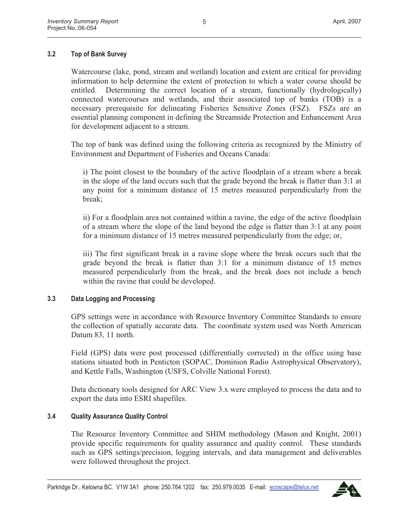# **3.2 Top of Bank Survey**

Watercourse (lake, pond, stream and wetland) location and extent are critical for providing information to help determine the extent of protection to which a water course should be entitled. Determining the correct location of a stream, functionally (hydrologically) connected watercourses and wetlands, and their associated top of banks (TOB) is a necessary prerequisite for delineating Fisheries Sensitive Zones (FSZ). FSZs are an essential planning component in defining the Streamside Protection and Enhancement Area for development adjacent to a stream.

The top of bank was defined using the following criteria as recognized by the Ministry of Environment and Department of Fisheries and Oceans Canada:

i) The point closest to the boundary of the active floodplain of a stream where a break in the slope of the land occurs such that the grade beyond the break is flatter than 3:1 at any point for a minimum distance of 15 metres measured perpendicularly from the break;

ii) For a floodplain area not contained within a ravine, the edge of the active floodplain of a stream where the slope of the land beyond the edge is flatter than 3:1 at any point for a minimum distance of 15 metres measured perpendicularly from the edge; or,

iii) The first significant break in a ravine slope where the break occurs such that the grade beyond the break is flatter than 3:1 for a minimum distance of 15 metres measured perpendicularly from the break, and the break does not include a bench within the ravine that could be developed.

#### **3.3 Data Logging and Processing**

GPS settings were in accordance with Resource Inventory Committee Standards to ensure the collection of spatially accurate data. The coordinate system used was North American Datum 83, 11 north.

Field (GPS) data were post processed (differentially corrected) in the office using base stations situated both in Penticton (SOPAC, Dominion Radio Astrophysical Observatory), and Kettle Falls, Washington (USFS, Colville National Forest).

Data dictionary tools designed for ARC View 3.x were employed to process the data and to export the data into ESRI shapefiles.

#### **3.4 Quality Assurance Quality Control**

The Resource Inventory Committee and SHIM methodology (Mason and Knight, 2001) provide specific requirements for quality assurance and quality control. These standards such as GPS settings/precision, logging intervals, and data management and deliverables were followed throughout the project.

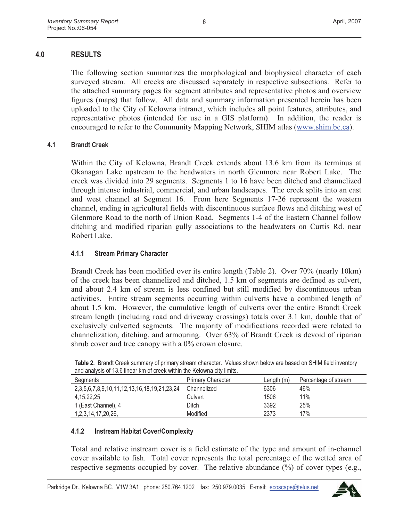# **4.0 RESULTS**

The following section summarizes the morphological and biophysical character of each surveyed stream. All creeks are discussed separately in respective subsections. Refer to the attached summary pages for segment attributes and representative photos and overview figures (maps) that follow. All data and summary information presented herein has been uploaded to the City of Kelowna intranet, which includes all point features, attributes, and representative photos (intended for use in a GIS platform). In addition, the reader is encouraged to refer to the Community Mapping Network, SHIM atlas (www.shim.bc.ca).

#### **4.1 Brandt Creek**

Within the City of Kelowna, Brandt Creek extends about 13.6 km from its terminus at Okanagan Lake upstream to the headwaters in north Glenmore near Robert Lake. The creek was divided into 29 segments. Segments 1 to 16 have been ditched and channelized through intense industrial, commercial, and urban landscapes. The creek splits into an east and west channel at Segment 16. From here Segments 17-26 represent the western channel, ending in agricultural fields with discontinuous surface flows and ditching west of Glenmore Road to the north of Union Road. Segments 1-4 of the Eastern Channel follow ditching and modified riparian gully associations to the headwaters on Curtis Rd. near Robert Lake.

### **4.1.1 Stream Primary Character**

Brandt Creek has been modified over its entire length (Table 2). Over 70% (nearly 10km) of the creek has been channelized and ditched, 1.5 km of segments are defined as culvert, and about 2.4 km of stream is less confined but still modified by discontinuous urban activities. Entire stream segments occurring within culverts have a combined length of about 1.5 km. However, the cumulative length of culverts over the entire Brandt Creek stream length (including road and driveway crossings) totals over 3.1 km, double that of exclusively culverted segments. The majority of modifications recorded were related to channelization, ditching, and armouring. Over 63% of Brandt Creek is devoid of riparian shrub cover and tree canopy with a 0% crown closure.

| and analysis of Toto infoar NH of Good Within the NGOWHA Gity infine. |                          |              |                      |  |  |  |
|-----------------------------------------------------------------------|--------------------------|--------------|----------------------|--|--|--|
| Segments                                                              | <b>Primary Character</b> | Length $(m)$ | Percentage of stream |  |  |  |
| 2, 3, 5, 6, 7, 8, 9, 10, 11, 12, 13, 16, 18, 19, 21, 23, 24           | Channelized              | 6306         | 46%                  |  |  |  |
| 4, 15, 22, 25                                                         | Culvert                  | 1506         | 11%                  |  |  |  |
| 1 (East Channel), 4                                                   | Ditch                    | 3392         | 25%                  |  |  |  |
| 1, 2, 3, 14, 17, 20, 26,                                              | Modified                 | 2373         | 17%                  |  |  |  |

**Table 2.** Brandt Creek summary of primary stream character. Values shown below are based on SHIM field inventory and analysis of 13.6 linear km of creek within the Kelowna city limits.

#### **4.1.2 Instream Habitat Cover/Complexity**

Total and relative instream cover is a field estimate of the type and amount of in-channel cover available to fish. Total cover represents the total percentage of the wetted area of respective segments occupied by cover. The relative abundance (%) of cover types (e.g.,

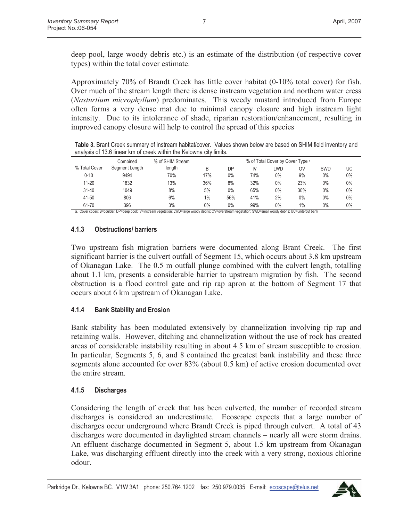deep pool, large woody debris etc.) is an estimate of the distribution (of respective cover types) within the total cover estimate.

Approximately 70% of Brandt Creek has little cover habitat (0-10% total cover) for fish. Over much of the stream length there is dense instream vegetation and northern water cress (*Nasturtium microphyllum*) predominates. This weedy mustard introduced from Europe often forms a very dense mat due to minimal canopy closure and high instream light intensity. Due to its intolerance of shade, riparian restoration/enhancement, resulting in improved canopy closure will help to control the spread of this species

**Table 3.** Brant Creek summary of instream habitat/cover. Values shown below are based on SHIM field inventory and analysis of 13.6 linear km of creek within the Kelowna city limits.

|               | Combined       | % of SHIM Stream |     |     |     | % of Total Cover by Cover Type a |     |            |       |
|---------------|----------------|------------------|-----|-----|-----|----------------------------------|-----|------------|-------|
| % Total Cover | Segment Length | length           | B   | DΡ  | IV  | LWD                              | OV  | <b>SWD</b> | UC    |
| $0 - 10$      | 9494           | 70%              | 17% | 0%  | 74% | $0\%$                            | 9%  | $0\%$      | 0%    |
| $11 - 20$     | 1832           | 13%              | 36% | 8%  | 32% | $0\%$                            | 23% | $0\%$      | 0%    |
| $31 - 40$     | 1049           | 8%               | 5%  | 0%  | 65% | $0\%$                            | 30% | $0\%$      | 0%    |
| 41-50         | 806            | 6%               | 1%  | 56% | 41% | 2%                               | 0%  | 0%         | $0\%$ |
| 61-70         | 396            | 3%               | 0%  | 0%  | 99% | $0\%$                            | 1%  | $0\%$      | 0%    |

a. Cover codes: B=boulder; DP=deep pool; IV=instream vegetation; LWD=large woody debris; OV=overstream vegetation; SWD=small woody debris; UC=undercut bank

### **4.1.3 Obstructions/ barriers**

Two upstream fish migration barriers were documented along Brant Creek. The first significant barrier is the culvert outfall of Segment 15, which occurs about 3.8 km upstream of Okanagan Lake. The 0.5 m outfall plunge combined with the culvert length, totalling about 1.1 km, presents a considerable barrier to upstream migration by fish. The second obstruction is a flood control gate and rip rap apron at the bottom of Segment 17 that occurs about 6 km upstream of Okanagan Lake.

# **4.1.4 Bank Stability and Erosion**

Bank stability has been modulated extensively by channelization involving rip rap and retaining walls. However, ditching and channelization without the use of rock has created areas of considerable instability resulting in about 4.5 km of stream susceptible to erosion. In particular, Segments 5, 6, and 8 contained the greatest bank instability and these three segments alone accounted for over 83% (about 0.5 km) of active erosion documented over the entire stream.

# **4.1.5 Discharges**

Considering the length of creek that has been culverted, the number of recorded stream discharges is considered an underestimate. Ecoscape expects that a large number of discharges occur underground where Brandt Creek is piped through culvert. A total of 43 discharges were documented in daylighted stream channels – nearly all were storm drains. An effluent discharge documented in Segment 5, about 1.5 km upstream from Okanagan Lake, was discharging effluent directly into the creek with a very strong, noxious chlorine odour.

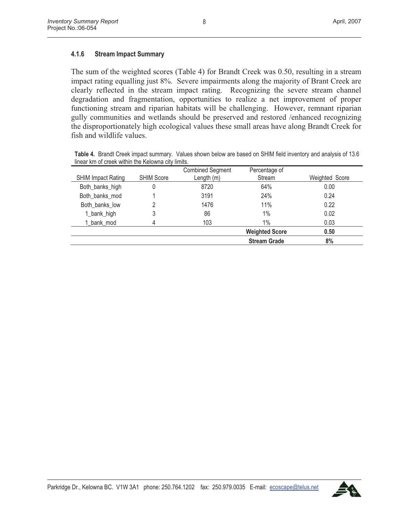### **4.1.6 Stream Impact Summary**

The sum of the weighted scores (Table 4) for Brandt Creek was 0.50, resulting in a stream impact rating equalling just 8%. Severe impairments along the majority of Brant Creek are clearly reflected in the stream impact rating. Recognizing the severe stream channel degradation and fragmentation, opportunities to realize a net improvement of proper functioning stream and riparian habitats will be challenging. However, remnant riparian gully communities and wetlands should be preserved and restored /enhanced recognizing the disproportionately high ecological values these small areas have along Brandt Creek for fish and wildlife values.

**Table 4.** Brandt Creek impact summary. Values shown below are based on SHIM field inventory and analysis of 13.6 linear km of creek within the Kelowna city limits.

| <b>SHIM Impact Rating</b> | <b>SHIM Score</b> | <b>Combined Segment</b><br>Length $(m)$ | Percentage of<br>Stream | Weighted Score |
|---------------------------|-------------------|-----------------------------------------|-------------------------|----------------|
| Both_banks_high           |                   | 8720                                    | 64%                     | 0.00           |
| Both banks mod            |                   | 3191                                    | 24%                     | 0.24           |
| Both banks low            |                   | 1476                                    | 11%                     | 0.22           |
| 1_bank_high               | 3                 | 86                                      | 1%                      | 0.02           |
| 1 bank mod                |                   | 103                                     | 1%                      | 0.03           |
|                           |                   |                                         | <b>Weighted Score</b>   | 0.50           |
|                           |                   |                                         | <b>Stream Grade</b>     | 8%             |

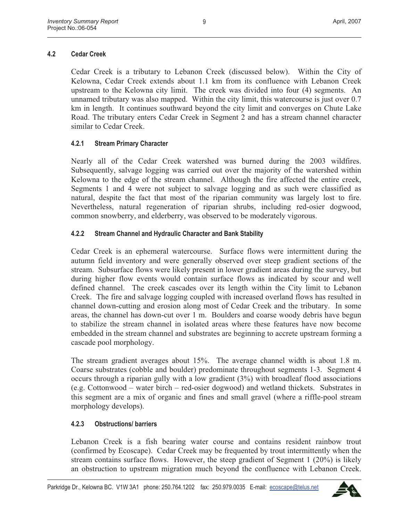# **4.2 Cedar Creek**

Cedar Creek is a tributary to Lebanon Creek (discussed below). Within the City of Kelowna, Cedar Creek extends about 1.1 km from its confluence with Lebanon Creek upstream to the Kelowna city limit. The creek was divided into four (4) segments. An unnamed tributary was also mapped. Within the city limit, this watercourse is just over 0.7 km in length. It continues southward beyond the city limit and converges on Chute Lake Road. The tributary enters Cedar Creek in Segment 2 and has a stream channel character similar to Cedar Creek.

# **4.2.1 Stream Primary Character**

Nearly all of the Cedar Creek watershed was burned during the 2003 wildfires. Subsequently, salvage logging was carried out over the majority of the watershed within Kelowna to the edge of the stream channel. Although the fire affected the entire creek, Segments 1 and 4 were not subject to salvage logging and as such were classified as natural, despite the fact that most of the riparian community was largely lost to fire. Nevertheless, natural regeneration of riparian shrubs, including red-osier dogwood, common snowberry, and elderberry, was observed to be moderately vigorous.

# **4.2.2 Stream Channel and Hydraulic Character and Bank Stability**

Cedar Creek is an ephemeral watercourse. Surface flows were intermittent during the autumn field inventory and were generally observed over steep gradient sections of the stream. Subsurface flows were likely present in lower gradient areas during the survey, but during higher flow events would contain surface flows as indicated by scour and well defined channel. The creek cascades over its length within the City limit to Lebanon Creek. The fire and salvage logging coupled with increased overland flows has resulted in channel down-cutting and erosion along most of Cedar Creek and the tributary. In some areas, the channel has down-cut over 1 m. Boulders and coarse woody debris have begun to stabilize the stream channel in isolated areas where these features have now become embedded in the stream channel and substrates are beginning to accrete upstream forming a cascade pool morphology.

The stream gradient averages about 15%. The average channel width is about 1.8 m. Coarse substrates (cobble and boulder) predominate throughout segments 1-3. Segment 4 occurs through a riparian gully with a low gradient (3%) with broadleaf flood associations (e.g. Cottonwood – water birch – red-osier dogwood) and wetland thickets. Substrates in this segment are a mix of organic and fines and small gravel (where a riffle-pool stream morphology develops).

# **4.2.3 Obstructions/ barriers**

Lebanon Creek is a fish bearing water course and contains resident rainbow trout (confirmed by Ecoscape). Cedar Creek may be frequented by trout intermittently when the stream contains surface flows. However, the steep gradient of Segment 1 (20%) is likely an obstruction to upstream migration much beyond the confluence with Lebanon Creek.

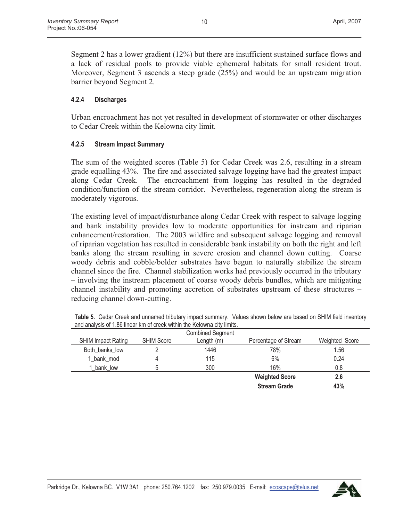Segment 2 has a lower gradient (12%) but there are insufficient sustained surface flows and a lack of residual pools to provide viable ephemeral habitats for small resident trout. Moreover, Segment 3 ascends a steep grade (25%) and would be an upstream migration barrier beyond Segment 2.

# **4.2.4 Discharges**

Urban encroachment has not yet resulted in development of stormwater or other discharges to Cedar Creek within the Kelowna city limit.

# **4.2.5 Stream Impact Summary**

The sum of the weighted scores (Table 5) for Cedar Creek was 2.6, resulting in a stream grade equalling 43%. The fire and associated salvage logging have had the greatest impact along Cedar Creek. The encroachment from logging has resulted in the degraded condition/function of the stream corridor. Nevertheless, regeneration along the stream is moderately vigorous.

The existing level of impact/disturbance along Cedar Creek with respect to salvage logging and bank instability provides low to moderate opportunities for instream and riparian enhancement/restoration. The 2003 wildfire and subsequent salvage logging and removal of riparian vegetation has resulted in considerable bank instability on both the right and left banks along the stream resulting in severe erosion and channel down cutting. Coarse woody debris and cobble/bolder substrates have begun to naturally stabilize the stream channel since the fire. Channel stabilization works had previously occurred in the tributary – involving the instream placement of coarse woody debris bundles, which are mitigating channel instability and promoting accretion of substrates upstream of these structures – reducing channel down-cutting.

|                   | <b>Combined Segment</b> |                       |                                                                            |
|-------------------|-------------------------|-----------------------|----------------------------------------------------------------------------|
| <b>SHIM Score</b> | Length (m)              | Percentage of Stream  | Weighted Score                                                             |
|                   | 1446                    | 78%                   | 1.56                                                                       |
|                   | 115                     | 6%                    | 0.24                                                                       |
|                   | 300                     | 16%                   | 0.8                                                                        |
|                   |                         | <b>Weighted Score</b> | 2.6                                                                        |
|                   |                         | <b>Stream Grade</b>   | 43%                                                                        |
|                   |                         |                       | and analytic of 1100 milear and or organization and recognitation, million |

**Table 5.** Cedar Creek and unnamed tributary impact summary. Values shown below are based on SHIM field inventory and analysis of 1.86 linear km of creek within the Kelowna city limits.

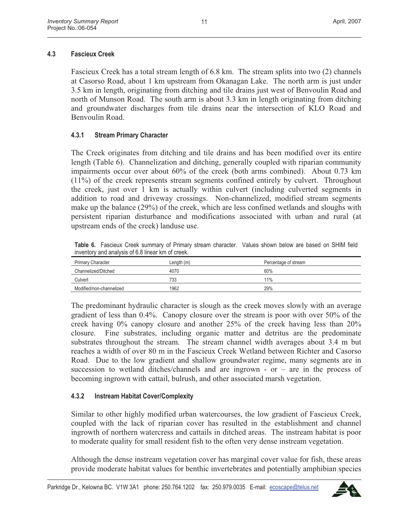# **4.3 Fascieux Creek**

Fascieux Creek has a total stream length of 6.8 km. The stream splits into two (2) channels at Casorso Road, about 1 km upstream from Okanagan Lake. The north arm is just under 3.5 km in length, originating from ditching and tile drains just west of Benvoulin Road and north of Munson Road. The south arm is about 3.3 km in length originating from ditching and groundwater discharges from tile drains near the intersection of KLO Road and Benvoulin Road.

# **4.3.1 Stream Primary Character**

The Creek originates from ditching and tile drains and has been modified over its entire length (Table 6). Channelization and ditching, generally coupled with riparian community impairments occur over about 60% of the creek (both arms combined). About 0.73 km (11%) of the creek represents stream segments confined entirely by culvert. Throughout the creek, just over 1 km is actually within culvert (including culverted segments in addition to road and driveway crossings. Non-channelized, modified stream segments make up the balance (29%) of the creek, which are less confined wetlands and sloughs with persistent riparian disturbance and modifications associated with urban and rural (at upstream ends of the creek) landuse use.

**Table 6.** Fascieux Creek summary of Primary stream character. Values shown below are based on SHIM field inventory and analysis of 6.8 linear km of creek.

| Primary Character        | Length(m) | Percentage of stream |
|--------------------------|-----------|----------------------|
| Channelized/Ditched      | 4070      | 60%                  |
| Culvert                  | 733       | 11%                  |
| Modified/non-channelized | 1962      | 29%                  |

The predominant hydraulic character is slough as the creek moves slowly with an average gradient of less than 0.4%. Canopy closure over the stream is poor with over 50% of the creek having 0% canopy closure and another 25% of the creek having less than 20% closure. Fine substrates, including organic matter and detritus are the predominate substrates throughout the stream. The stream channel width averages about 3.4 m but reaches a width of over 80 m in the Fascieux Creek Wetland between Richter and Casorso Road. Due to the low gradient and shallow groundwater regime, many segments are in succession to wetland ditches/channels and are ingrown - or  $-$  are in the process of becoming ingrown with cattail, bulrush, and other associated marsh vegetation.

# **4.3.2 Instream Habitat Cover/Complexity**

Similar to other highly modified urban watercourses, the low gradient of Fascieux Creek, coupled with the lack of riparian cover has resulted in the establishment and channel ingrowth of northern watercress and cattails in ditched areas. The instream habitat is poor to moderate quality for small resident fish to the often very dense instream vegetation.

Although the dense instream vegetation cover has marginal cover value for fish, these areas provide moderate habitat values for benthic invertebrates and potentially amphibian species

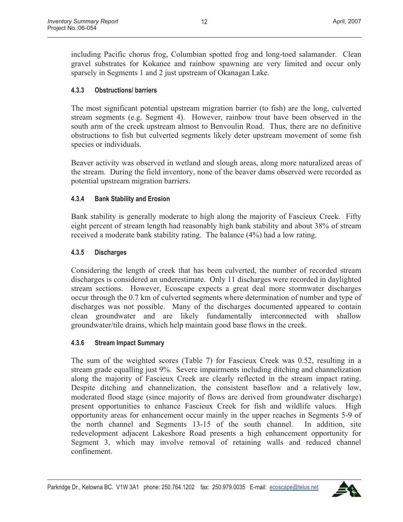including Pacific chorus frog, Columbian spotted frog and long-toed salamander. Clean gravel substrates for Kokanee and rainbow spawning are very limited and occur only sparsely in Segments 1 and 2 just upstream of Okanagan Lake.

# **4.3.3 Obstructions/ barriers**

The most significant potential upstream migration barrier (to fish) are the long, culverted stream segments (e.g. Segment 4). However, rainbow trout have been observed in the south arm of the creek upstream almost to Benvoulin Road. Thus, there are no definitive obstructions to fish but culverted segments likely deter upstream movement of some fish species or individuals.

Beaver activity was observed in wetland and slough areas, along more naturalized areas of the stream. During the field inventory, none of the beaver dams observed were recorded as potential upstream migration barriers.

# **4.3.4 Bank Stability and Erosion**

Bank stability is generally moderate to high along the majority of Fascieux Creek. Fifty eight percent of stream length had reasonably high bank stability and about 38% of stream received a moderate bank stability rating. The balance (4%) had a low rating.

### **4.3.5 Discharges**

Considering the length of creek that has been culverted, the number of recorded stream discharges is considered an underestimate. Only 11 discharges were recorded in daylighted stream sections. However, Ecoscape expects a great deal more stormwater discharges occur through the 0.7 km of culverted segments where determination of number and type of discharges was not possible. Many of the discharges documented appeared to contain clean groundwater and are likely fundamentally interconnected with shallow groundwater/tile drains, which help maintain good base flows in the creek.

#### **4.3.6 Stream Impact Summary**

The sum of the weighted scores (Table 7) for Fascieux Creek was 0.52, resulting in a stream grade equalling just 9%. Severe impairments including ditching and channelization along the majority of Fascieux Creek are clearly reflected in the stream impact rating. Despite ditching and channelization, the consistent baseflow and a relatively low, moderated flood stage (since majority of flows are derived from groundwater discharge) present opportunities to enhance Fascieux Creek for fish and wildlife values. High opportunity areas for enhancement occur mainly in the upper reaches in Segments 5-9 of the north channel and Segments 13-15 of the south channel. In addition, site redevelopment adjacent Lakeshore Road presents a high enhancement opportunity for Segment 3, which may involve removal of retaining walls and reduced channel confinement.

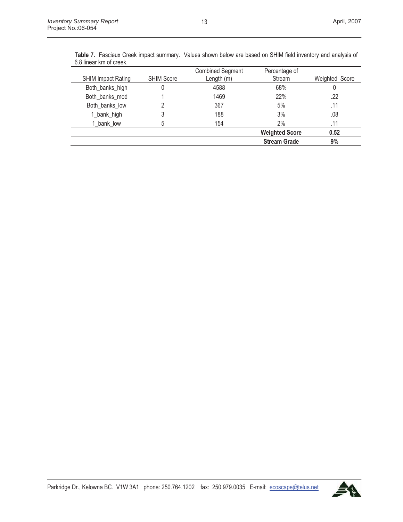|                           |                   | <b>Combined Segment</b> | Percentage of         |                |
|---------------------------|-------------------|-------------------------|-----------------------|----------------|
| <b>SHIM Impact Rating</b> | <b>SHIM Score</b> | Length $(m)$            | Stream                | Weighted Score |
| Both_banks_high           | 0                 | 4588                    | 68%                   | 0              |
| Both banks mod            |                   | 1469                    | 22%                   | .22            |
| Both banks low            |                   | 367                     | 5%                    | .11            |
| 1_bank_high               | 3                 | 188                     | 3%                    | .08            |
| 1 bank low                | 5                 | 154                     | 2%                    | .11            |
|                           |                   |                         | <b>Weighted Score</b> | 0.52           |
|                           |                   |                         | <b>Stream Grade</b>   | 9%             |

**Table 7.** Fascieux Creek impact summary. Values shown below are based on SHIM field inventory and analysis of 6.8 linear km of creek.

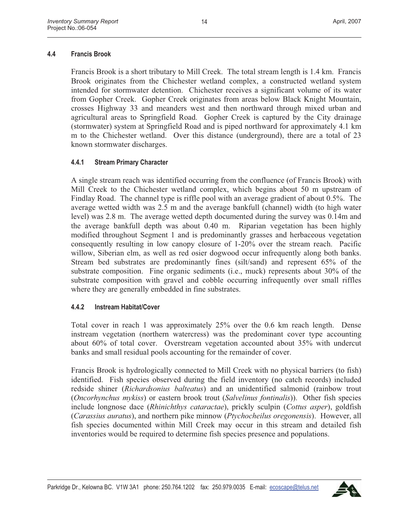# **4.4 Francis Brook**

Francis Brook is a short tributary to Mill Creek. The total stream length is 1.4 km. Francis Brook originates from the Chichester wetland complex, a constructed wetland system intended for stormwater detention. Chichester receives a significant volume of its water from Gopher Creek. Gopher Creek originates from areas below Black Knight Mountain, crosses Highway 33 and meanders west and then northward through mixed urban and agricultural areas to Springfield Road. Gopher Creek is captured by the City drainage (stormwater) system at Springfield Road and is piped northward for approximately 4.1 km m to the Chichester wetland. Over this distance (underground), there are a total of 23 known stormwater discharges.

# **4.4.1 Stream Primary Character**

A single stream reach was identified occurring from the confluence (of Francis Brook) with Mill Creek to the Chichester wetland complex, which begins about 50 m upstream of Findlay Road. The channel type is riffle pool with an average gradient of about 0.5%. The average wetted width was 2.5 m and the average bankfull (channel) width (to high water level) was 2.8 m. The average wetted depth documented during the survey was 0.14m and the average bankfull depth was about 0.40 m. Riparian vegetation has been highly modified throughout Segment 1 and is predominantly grasses and herbaceous vegetation consequently resulting in low canopy closure of 1-20% over the stream reach. Pacific willow, Siberian elm, as well as red osier dogwood occur infrequently along both banks. Stream bed substrates are predominantly fines (silt/sand) and represent 65% of the substrate composition. Fine organic sediments (i.e., muck) represents about 30% of the substrate composition with gravel and cobble occurring infrequently over small riffles where they are generally embedded in fine substrates.

# **4.4.2 Instream Habitat/Cover**

Total cover in reach 1 was approximately 25% over the 0.6 km reach length. Dense instream vegetation (northern watercress) was the predominant cover type accounting about 60% of total cover. Overstream vegetation accounted about 35% with undercut banks and small residual pools accounting for the remainder of cover.

Francis Brook is hydrologically connected to Mill Creek with no physical barriers (to fish) identified. Fish species observed during the field inventory (no catch records) included redside shiner (*Richardsonius balteatus*) and an unidentified salmonid (rainbow trout (*Oncorhynchus mykiss*) or eastern brook trout (*Salvelinus fontinalis*)). Other fish species include longnose dace (*Rhinichthys cataractae*), prickly sculpin (*Cottus asper*), goldfish (*Carassius auratus*), and northern pike minnow (*Ptychocheilus oregonensis*). However, all fish species documented within Mill Creek may occur in this stream and detailed fish inventories would be required to determine fish species presence and populations.

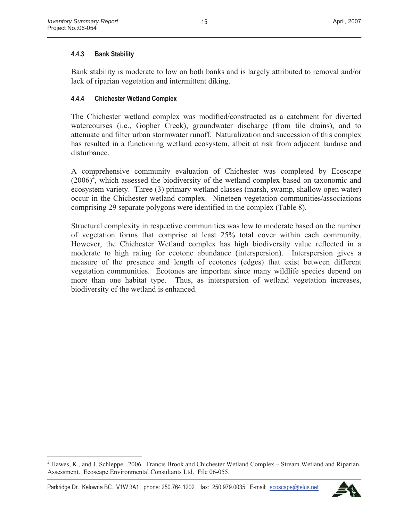# **4.4.3 Bank Stability**

Bank stability is moderate to low on both banks and is largely attributed to removal and/or lack of riparian vegetation and intermittent diking.

### **4.4.4 Chichester Wetland Complex**

The Chichester wetland complex was modified/constructed as a catchment for diverted watercourses (i.e., Gopher Creek), groundwater discharge (from tile drains), and to attenuate and filter urban stormwater runoff. Naturalization and succession of this complex has resulted in a functioning wetland ecosystem, albeit at risk from adjacent landuse and disturbance.

A comprehensive community evaluation of Chichester was completed by Ecoscape  $(2006)^2$ , which assessed the biodiversity of the wetland complex based on taxonomic and ecosystem variety. Three (3) primary wetland classes (marsh, swamp, shallow open water) occur in the Chichester wetland complex. Nineteen vegetation communities/associations comprising 29 separate polygons were identified in the complex (Table 8).

Structural complexity in respective communities was low to moderate based on the number of vegetation forms that comprise at least 25% total cover within each community. However, the Chichester Wetland complex has high biodiversity value reflected in a moderate to high rating for ecotone abundance (interspersion). Interspersion gives a measure of the presence and length of ecotones (edges) that exist between different vegetation communities. Ecotones are important since many wildlife species depend on more than one habitat type. Thus, as interspersion of wetland vegetation increases, biodiversity of the wetland is enhanced.



 $2$  Hawes, K., and J. Schleppe. 2006. Francis Brook and Chichester Wetland Complex – Stream Wetland and Riparian Assessment. Ecoscape Environmental Consultants Ltd. File 06-055.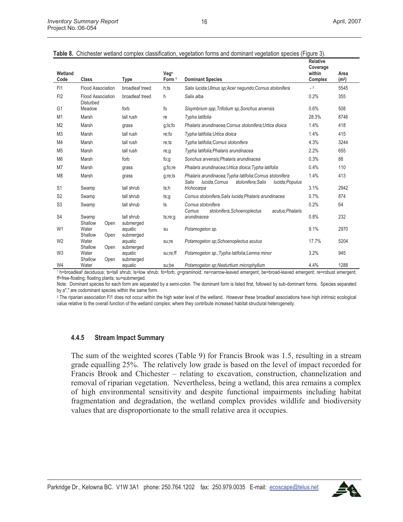| Wetland<br>Code | Class                                        | <b>Type</b>             | Veg <sup>n</sup><br>Form <sup>1</sup> | <b>Dominant Species</b>                                                                                                       | <b>Relative</b><br>Coverage<br>within<br><b>Complex</b> | Area<br>(m <sup>2</sup> ) |
|-----------------|----------------------------------------------|-------------------------|---------------------------------------|-------------------------------------------------------------------------------------------------------------------------------|---------------------------------------------------------|---------------------------|
| F <sub>11</sub> | <b>Flood Association</b>                     | broadleaf treed         | h:ts                                  | Salix lucida; Ulmus sp; Acer negundo; Cornus stolonifera                                                                      | $-2$                                                    | 5545                      |
| FI2             | <b>Flood Association</b><br><b>Disturbed</b> | broadleaf treed         | h                                     | Salix alba                                                                                                                    | 0.2%                                                    | 355                       |
| G <sub>1</sub>  | Meadow                                       | forb                    | fo                                    | Sisymbrium spp, Trifolium sp, Sonchus arvensis                                                                                | 0.6%                                                    | 508                       |
| M1              | Marsh                                        | tall rush               | re                                    | Typha latifolia                                                                                                               | 28.3%                                                   | 8746                      |
| M <sub>2</sub>  | Marsh                                        | grass                   | g;ls;fo                               | Phalaris arundinacea; Cornus stolonifera; Urtica dioica                                                                       | 1.4%                                                    | 418                       |
| M <sub>3</sub>  | Marsh                                        | tall rush               | re;fo                                 | Typha latifolia; Urtica dioica                                                                                                | 1.4%                                                    | 415                       |
| M4              | Marsh                                        | tall rush               | re;ts                                 | Typha latifolia; Cornus stolonifera                                                                                           | 4.3%                                                    | 3244                      |
| M <sub>5</sub>  | Marsh                                        | tall rush               | re;g                                  | Typha latifolia; Phalaris arundinacea                                                                                         | 2.2%                                                    | 655                       |
| M <sub>6</sub>  | Marsh                                        | forb                    | fo;g                                  | Sonchus arvensis; Phalaris arundinacea                                                                                        | 0.3%                                                    | 88                        |
| M <sub>7</sub>  | Marsh                                        | grass                   | g;fo;re                               | Phalaris arundinacea; Urtica dioica; Typha latifolia                                                                          | 0.4%                                                    | 110                       |
| M <sub>8</sub>  | Marsh                                        | grass                   | g;re;ls                               | Phalaris arundinacea; Typha latifolia; Cornus stolonifera<br>Salix<br>stolonifera; Salix<br>lucida, Cornus<br>lucida; Populus | 1.4%                                                    | 413                       |
| S <sub>1</sub>  | Swamp                                        | tall shrub              | ts:h                                  | trichocarpa                                                                                                                   | 3.1%                                                    | 2942                      |
| S <sub>2</sub>  | Swamp                                        | tall shrub              | ts;g                                  | Cornus stolonifera, Salix lucida; Phalaris arundinacea                                                                        | 0.7%                                                    | 874                       |
| S <sub>3</sub>  | Swamp                                        | tall shrub              | ts                                    | Cornus stolonifera<br>Cornus<br>stolonifera, Schoenoplectus<br>acutus: Phalaris                                               | 0.2%                                                    | 64                        |
| S <sub>4</sub>  | Swamp<br>Shallow<br>Open                     | tall shrub<br>submerged | ts;re;g                               | arundinacea                                                                                                                   | 0.8%                                                    | 232                       |
| W <sub>1</sub>  | Water<br>Shallow<br>Open                     | aquatic<br>submerged    | su                                    | Potamogeton sp.                                                                                                               | 9.1%                                                    | 2970                      |
| W <sub>2</sub>  | Water<br>Shallow<br>Open                     | aquatic<br>submerged    | su;re                                 | Potamogeton sp;Schoenoplectus acutus                                                                                          | 17.7%                                                   | 5204                      |
| W <sub>3</sub>  | Water<br>Shallow<br>Open                     | aquatic<br>submerged    | su;re;ff                              | Potamogeton sp.; Typha latifolia; Lemna minor                                                                                 | 3.2%                                                    | 945                       |
| W4              | Water                                        | aquatic                 | su:be                                 | Potamogeton sp:Nasturtium microphyllum                                                                                        | 4.4%                                                    | 1288                      |

|  |  | Table 8. Chichester wetland complex classification, vegetation forms and dominant vegetation species (Figure 3). |  |  |  |  |
|--|--|------------------------------------------------------------------------------------------------------------------|--|--|--|--|
|  |  |                                                                                                                  |  |  |  |  |

<sup>1</sup> h=broadleaf deciduous; ts=tall shrub; ls=low shrub; fo=forb; g=graminoid; ne=narrow-leaved emergent; be=broad-leaved emergent; re=robust emergent; ff=free-floating; floating plants; su=submerged.

Note: Dominant species for each form are separated by a semi-colon. The dominant form is listed first, followed by sub-dominant forms. Species separated by a"," are codominant species within the same form.

<sup>2</sup> The riparian association FI1 does not occur within the high water level of the wetland. However these broadleaf associations have high intrinsic ecological value relative to the overall function of the wetland complex; where they contribute increased habitat structural heterogeneity.

#### **4.4.5 Stream Impact Summary**

The sum of the weighted scores (Table 9) for Francis Brook was 1.5, resulting in a stream grade equalling 25%. The relatively low grade is based on the level of impact recorded for Francis Brook and Chichester – relating to excavation, construction, channelization and removal of riparian vegetation. Nevertheless, being a wetland, this area remains a complex of high environmental sensitivity and despite functional impairments including habitat fragmentation and degradation, the wetland complex provides wildlife and biodiversity values that are disproportionate to the small relative area it occupies.

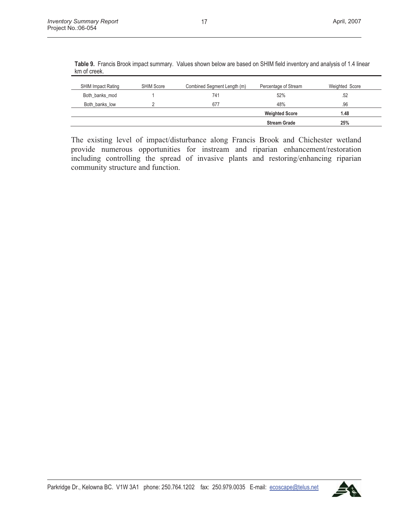| <b>SHIM Impact Rating</b> | <b>SHIM Score</b> | Combined Segment Length (m) | Percentage of Stream  | Weighted Score |
|---------------------------|-------------------|-----------------------------|-----------------------|----------------|
| Both_banks_mod            |                   | 741                         | 52%                   | .52            |
| Both banks low            |                   | 677                         | 48%                   | .96            |
|                           |                   |                             | <b>Weighted Score</b> | 1.48           |
|                           |                   |                             | <b>Stream Grade</b>   | 25%            |

**Table 9.** Francis Brook impact summary. Values shown below are based on SHIM field inventory and analysis of 1.4 linear km of creek.

The existing level of impact/disturbance along Francis Brook and Chichester wetland provide numerous opportunities for instream and riparian enhancement/restoration including controlling the spread of invasive plants and restoring/enhancing riparian community structure and function.

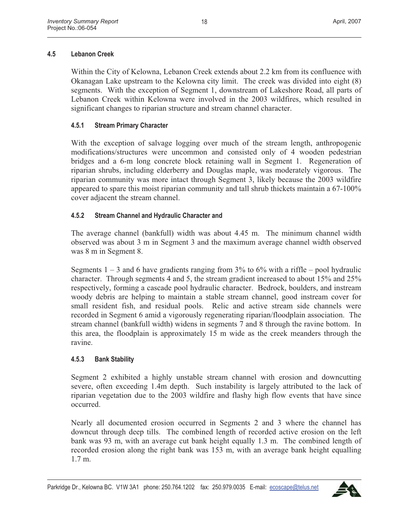# **4.5 Lebanon Creek**

Within the City of Kelowna, Lebanon Creek extends about 2.2 km from its confluence with Okanagan Lake upstream to the Kelowna city limit. The creek was divided into eight (8) segments. With the exception of Segment 1, downstream of Lakeshore Road, all parts of Lebanon Creek within Kelowna were involved in the 2003 wildfires, which resulted in significant changes to riparian structure and stream channel character.

# **4.5.1 Stream Primary Character**

With the exception of salvage logging over much of the stream length, anthropogenic modifications/structures were uncommon and consisted only of 4 wooden pedestrian bridges and a 6-m long concrete block retaining wall in Segment 1. Regeneration of riparian shrubs, including elderberry and Douglas maple, was moderately vigorous. The riparian community was more intact through Segment 3, likely because the 2003 wildfire appeared to spare this moist riparian community and tall shrub thickets maintain a 67-100% cover adjacent the stream channel.

# **4.5.2 Stream Channel and Hydraulic Character and**

The average channel (bankfull) width was about 4.45 m. The minimum channel width observed was about 3 m in Segment 3 and the maximum average channel width observed was 8 m in Segment 8.

Segments  $1 - 3$  and 6 have gradients ranging from 3% to 6% with a riffle – pool hydraulic character. Through segments 4 and 5, the stream gradient increased to about 15% and 25% respectively, forming a cascade pool hydraulic character. Bedrock, boulders, and instream woody debris are helping to maintain a stable stream channel, good instream cover for small resident fish, and residual pools. Relic and active stream side channels were recorded in Segment 6 amid a vigorously regenerating riparian/floodplain association. The stream channel (bankfull width) widens in segments 7 and 8 through the ravine bottom. In this area, the floodplain is approximately 15 m wide as the creek meanders through the ravine.

# **4.5.3 Bank Stability**

Segment 2 exhibited a highly unstable stream channel with erosion and downcutting severe, often exceeding 1.4m depth. Such instability is largely attributed to the lack of riparian vegetation due to the 2003 wildfire and flashy high flow events that have since occurred.

Nearly all documented erosion occurred in Segments 2 and 3 where the channel has downcut through deep tills. The combined length of recorded active erosion on the left bank was 93 m, with an average cut bank height equally 1.3 m. The combined length of recorded erosion along the right bank was 153 m, with an average bank height equalling 1.7 m.

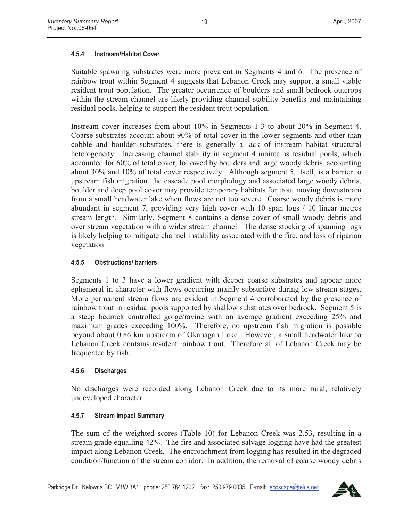# **4.5.4 Instream/Habitat Cover**

Suitable spawning substrates were more prevalent in Segments 4 and 6. The presence of rainbow trout within Segment 4 suggests that Lebanon Creek may support a small viable resident trout population. The greater occurrence of boulders and small bedrock outcrops within the stream channel are likely providing channel stability benefits and maintaining residual pools, helping to support the resident trout population.

Instream cover increases from about 10% in Segments 1-3 to about 20% in Segment 4. Coarse substrates account about 90% of total cover in the lower segments and other than cobble and boulder substrates, there is generally a lack of instream habitat structural heterogeneity. Increasing channel stability in segment 4 maintains residual pools, which accounted for 60% of total cover, followed by boulders and large woody debris, accounting about 30% and 10% of total cover respectively. Although segment 5, itself, is a barrier to upstream fish migration, the cascade pool morphology and associated large woody debris, boulder and deep pool cover may provide temporary habitats for trout moving downstream from a small headwater lake when flows are not too severe. Coarse woody debris is more abundant in segment 7, providing very high cover with 10 span logs / 10 linear metres stream length. Similarly, Segment 8 contains a dense cover of small woody debris and over stream vegetation with a wider stream channel. The dense stocking of spanning logs is likely helping to mitigate channel instability associated with the fire, and loss of riparian vegetation.

# **4.5.5 Obstructions/ barriers**

Segments 1 to 3 have a lower gradient with deeper coarse substrates and appear more ephemeral in character with flows occurring mainly subsurface during low stream stages. More permanent stream flows are evident in Segment 4 corroborated by the presence of rainbow trout in residual pools supported by shallow substrates over bedrock. Segment 5 is a steep bedrock controlled gorge/ravine with an average gradient exceeding 25% and maximum grades exceeding 100%. Therefore, no upstream fish migration is possible beyond about 0.86 km upstream of Okanagan Lake. However, a small headwater lake to Lebanon Creek contains resident rainbow trout. Therefore all of Lebanon Creek may be frequented by fish.

#### **4.5.6 Discharges**

No discharges were recorded along Lebanon Creek due to its more rural, relatively undeveloped character.

# **4.5.7 Stream Impact Summary**

The sum of the weighted scores (Table 10) for Lebanon Creek was 2.53, resulting in a stream grade equalling 42%. The fire and associated salvage logging have had the greatest impact along Lebanon Creek. The encroachment from logging has resulted in the degraded condition/function of the stream corridor. In addition, the removal of coarse woody debris

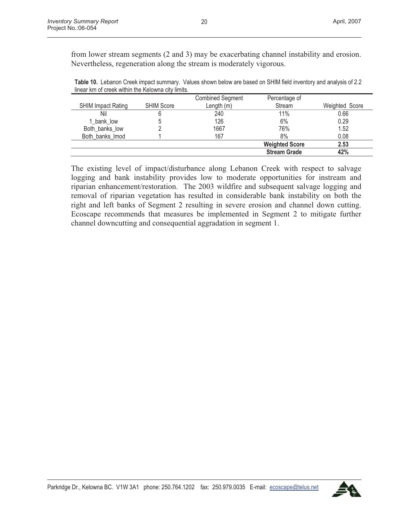from lower stream segments (2 and 3) may be exacerbating channel instability and erosion. Nevertheless, regeneration along the stream is moderately vigorous.

**Table 10.** Lebanon Creek impact summary. Values shown below are based on SHIM field inventory and analysis of 2.2 linear km of creek within the Kelowna city limits.

|                           |                   | <b>Combined Segment</b> | Percentage of         |                |
|---------------------------|-------------------|-------------------------|-----------------------|----------------|
| <b>SHIM Impact Rating</b> | <b>SHIM Score</b> | Length (m)              | Stream                | Weighted Score |
| Nil                       | 6                 | 240                     | $11\%$                | 0.66           |
| 1 bank low                | ხ                 | 126                     | 6%                    | 0.29           |
| Both banks low            |                   | 1667                    | 76%                   | 1.52           |
| Both banks Imod           |                   | 167                     | 8%                    | 0.08           |
|                           |                   |                         | <b>Weighted Score</b> | 2.53           |
|                           |                   |                         | <b>Stream Grade</b>   | 42%            |

The existing level of impact/disturbance along Lebanon Creek with respect to salvage logging and bank instability provides low to moderate opportunities for instream and riparian enhancement/restoration. The 2003 wildfire and subsequent salvage logging and removal of riparian vegetation has resulted in considerable bank instability on both the right and left banks of Segment 2 resulting in severe erosion and channel down cutting. Ecoscape recommends that measures be implemented in Segment 2 to mitigate further channel downcutting and consequential aggradation in segment 1.

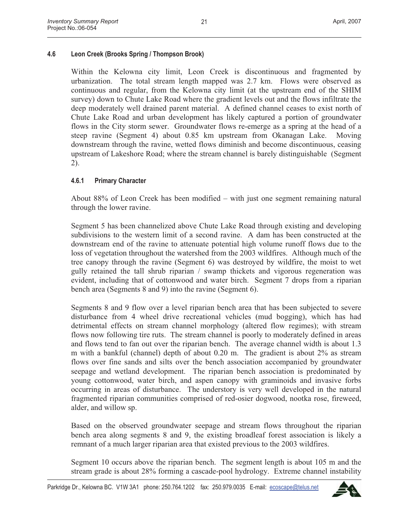21

# **4.6 Leon Creek (Brooks Spring / Thompson Brook)**

Within the Kelowna city limit, Leon Creek is discontinuous and fragmented by urbanization. The total stream length mapped was 2.7 km. Flows were observed as continuous and regular, from the Kelowna city limit (at the upstream end of the SHIM survey) down to Chute Lake Road where the gradient levels out and the flows infiltrate the deep moderately well drained parent material. A defined channel ceases to exist north of Chute Lake Road and urban development has likely captured a portion of groundwater flows in the City storm sewer. Groundwater flows re-emerge as a spring at the head of a steep ravine (Segment 4) about 0.85 km upstream from Okanagan Lake. Moving downstream through the ravine, wetted flows diminish and become discontinuous, ceasing upstream of Lakeshore Road; where the stream channel is barely distinguishable (Segment 2).

### **4.6.1 Primary Character**

About 88% of Leon Creek has been modified – with just one segment remaining natural through the lower ravine.

Segment 5 has been channelized above Chute Lake Road through existing and developing subdivisions to the western limit of a second ravine. A dam has been constructed at the downstream end of the ravine to attenuate potential high volume runoff flows due to the loss of vegetation throughout the watershed from the 2003 wildfires. Although much of the tree canopy through the ravine (Segment 6) was destroyed by wildfire, the moist to wet gully retained the tall shrub riparian / swamp thickets and vigorous regeneration was evident, including that of cottonwood and water birch. Segment 7 drops from a riparian bench area (Segments 8 and 9) into the ravine (Segment 6).

Segments 8 and 9 flow over a level riparian bench area that has been subjected to severe disturbance from 4 wheel drive recreational vehicles (mud bogging), which has had detrimental effects on stream channel morphology (altered flow regimes); with stream flows now following tire ruts. The stream channel is poorly to moderately defined in areas and flows tend to fan out over the riparian bench. The average channel width is about 1.3 m with a bankful (channel) depth of about 0.20 m. The gradient is about 2% as stream flows over fine sands and silts over the bench association accompanied by groundwater seepage and wetland development. The riparian bench association is predominated by young cottonwood, water birch, and aspen canopy with graminoids and invasive forbs occurring in areas of disturbance. The understory is very well developed in the natural fragmented riparian communities comprised of red-osier dogwood, nootka rose, fireweed, alder, and willow sp.

Based on the observed groundwater seepage and stream flows throughout the riparian bench area along segments 8 and 9, the existing broadleaf forest association is likely a remnant of a much larger riparian area that existed previous to the 2003 wildfires.

Segment 10 occurs above the riparian bench. The segment length is about 105 m and the stream grade is about 28% forming a cascade-pool hydrology. Extreme channel instability

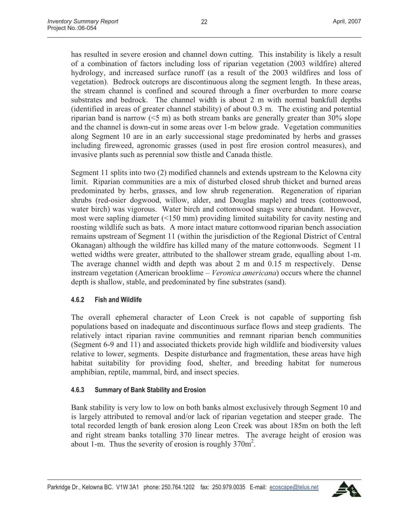has resulted in severe erosion and channel down cutting. This instability is likely a result of a combination of factors including loss of riparian vegetation (2003 wildfire) altered hydrology, and increased surface runoff (as a result of the 2003 wildfires and loss of vegetation). Bedrock outcrops are discontinuous along the segment length. In these areas, the stream channel is confined and scoured through a finer overburden to more coarse substrates and bedrock. The channel width is about 2 m with normal bankfull depths (identified in areas of greater channel stability) of about 0.3 m. The existing and potential riparian band is narrow (<5 m) as both stream banks are generally greater than 30% slope and the channel is down-cut in some areas over 1-m below grade. Vegetation communities along Segment 10 are in an early successional stage predominated by herbs and grasses including fireweed, agronomic grasses (used in post fire erosion control measures), and invasive plants such as perennial sow thistle and Canada thistle.

Segment 11 splits into two (2) modified channels and extends upstream to the Kelowna city limit. Riparian communities are a mix of disturbed closed shrub thicket and burned areas predominated by herbs, grasses, and low shrub regeneration. Regeneration of riparian shrubs (red-osier dogwood, willow, alder, and Douglas maple) and trees (cottonwood, water birch) was vigorous. Water birch and cottonwood snags were abundant. However, most were sapling diameter (<150 mm) providing limited suitability for cavity nesting and roosting wildlife such as bats. A more intact mature cottonwood riparian bench association remains upstream of Segment 11 (within the jurisdiction of the Regional District of Central Okanagan) although the wildfire has killed many of the mature cottonwoods. Segment 11 wetted widths were greater, attributed to the shallower stream grade, equalling about 1-m. The average channel width and depth was about 2 m and 0.15 m respectively. Dense instream vegetation (American brooklime – *Veronica americana*) occurs where the channel depth is shallow, stable, and predominated by fine substrates (sand).

# **4.6.2 Fish and Wildlife**

The overall ephemeral character of Leon Creek is not capable of supporting fish populations based on inadequate and discontinuous surface flows and steep gradients. The relatively intact riparian ravine communities and remnant riparian bench communities (Segment 6-9 and 11) and associated thickets provide high wildlife and biodiversity values relative to lower, segments. Despite disturbance and fragmentation, these areas have high habitat suitability for providing food, shelter, and breeding habitat for numerous amphibian, reptile, mammal, bird, and insect species.

#### **4.6.3 Summary of Bank Stability and Erosion**

Bank stability is very low to low on both banks almost exclusively through Segment 10 and is largely attributed to removal and/or lack of riparian vegetation and steeper grade. The total recorded length of bank erosion along Leon Creek was about 185m on both the left and right stream banks totalling 370 linear metres. The average height of erosion was about 1-m. Thus the severity of erosion is roughly  $370m^2$ .

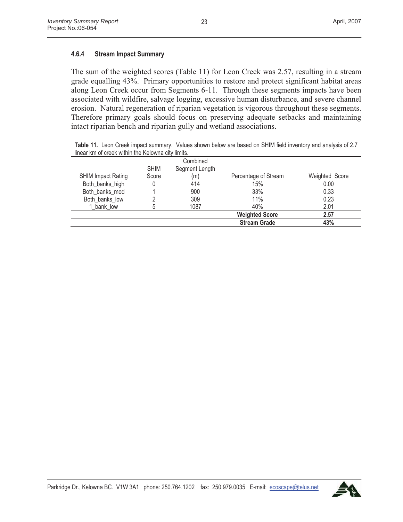#### **4.6.4 Stream Impact Summary**

The sum of the weighted scores (Table 11) for Leon Creek was 2.57, resulting in a stream grade equalling 43%. Primary opportunities to restore and protect significant habitat areas along Leon Creek occur from Segments 6-11. Through these segments impacts have been associated with wildfire, salvage logging, excessive human disturbance, and severe channel erosion. Natural regeneration of riparian vegetation is vigorous throughout these segments. Therefore primary goals should focus on preserving adequate setbacks and maintaining intact riparian bench and riparian gully and wetland associations.

**Table 11.** Leon Creek impact summary. Values shown below are based on SHIM field inventory and analysis of 2.7 linear km of creek within the Kelowna city limits.

|                           |             | Combined       |                       |                |
|---------------------------|-------------|----------------|-----------------------|----------------|
|                           | <b>SHIM</b> | Segment Length |                       |                |
| <b>SHIM Impact Rating</b> | Score       | (m)            | Percentage of Stream  | Weighted Score |
| Both_banks_high           |             | 414            | 15%                   | 0.00           |
| Both banks mod            |             | 900            | 33%                   | 0.33           |
| Both banks low            |             | 309            | 11%                   | 0.23           |
| 1 bank low                |             | 1087           | 40%                   | 2.01           |
|                           |             |                | <b>Weighted Score</b> | 2.57           |
|                           |             |                | <b>Stream Grade</b>   | 43%            |

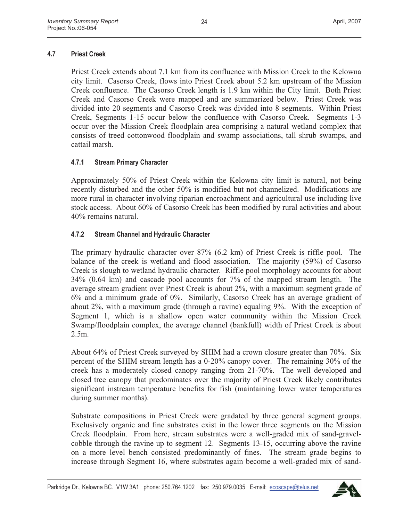# **4.7 Priest Creek**

Priest Creek extends about 7.1 km from its confluence with Mission Creek to the Kelowna city limit. Casorso Creek, flows into Priest Creek about 5.2 km upstream of the Mission Creek confluence. The Casorso Creek length is 1.9 km within the City limit. Both Priest Creek and Casorso Creek were mapped and are summarized below. Priest Creek was divided into 20 segments and Casorso Creek was divided into 8 segments. Within Priest Creek, Segments 1-15 occur below the confluence with Casorso Creek. Segments 1-3 occur over the Mission Creek floodplain area comprising a natural wetland complex that consists of treed cottonwood floodplain and swamp associations, tall shrub swamps, and cattail marsh.

### **4.7.1 Stream Primary Character**

Approximately 50% of Priest Creek within the Kelowna city limit is natural, not being recently disturbed and the other 50% is modified but not channelized. Modifications are more rural in character involving riparian encroachment and agricultural use including live stock access. About 60% of Casorso Creek has been modified by rural activities and about 40% remains natural.

### **4.7.2 Stream Channel and Hydraulic Character**

The primary hydraulic character over 87% (6.2 km) of Priest Creek is riffle pool. The balance of the creek is wetland and flood association. The majority (59%) of Casorso Creek is slough to wetland hydraulic character. Riffle pool morphology accounts for about 34% (0.64 km) and cascade pool accounts for 7% of the mapped stream length. The average stream gradient over Priest Creek is about 2%, with a maximum segment grade of 6% and a minimum grade of 0%. Similarly, Casorso Creek has an average gradient of about 2%, with a maximum grade (through a ravine) equaling 9%. With the exception of Segment 1, which is a shallow open water community within the Mission Creek Swamp/floodplain complex, the average channel (bankfull) width of Priest Creek is about 2.5m.

About 64% of Priest Creek surveyed by SHIM had a crown closure greater than 70%. Six percent of the SHIM stream length has a 0-20% canopy cover. The remaining 30% of the creek has a moderately closed canopy ranging from 21-70%. The well developed and closed tree canopy that predominates over the majority of Priest Creek likely contributes significant instream temperature benefits for fish (maintaining lower water temperatures during summer months).

Substrate compositions in Priest Creek were gradated by three general segment groups. Exclusively organic and fine substrates exist in the lower three segments on the Mission Creek floodplain. From here, stream substrates were a well-graded mix of sand-gravelcobble through the ravine up to segment 12. Segments 13-15, occurring above the ravine on a more level bench consisted predominantly of fines. The stream grade begins to increase through Segment 16, where substrates again become a well-graded mix of sand-

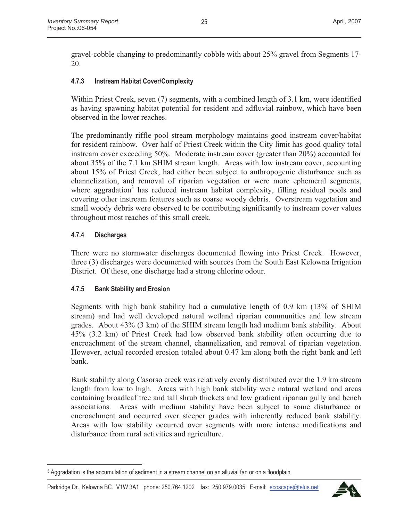gravel-cobble changing to predominantly cobble with about 25% gravel from Segments 17- 20.

### **4.7.3 Instream Habitat Cover/Complexity**

Within Priest Creek, seven (7) segments, with a combined length of 3.1 km, were identified as having spawning habitat potential for resident and adfluvial rainbow, which have been observed in the lower reaches.

The predominantly riffle pool stream morphology maintains good instream cover/habitat for resident rainbow. Over half of Priest Creek within the City limit has good quality total instream cover exceeding 50%. Moderate instream cover (greater than 20%) accounted for about 35% of the 7.1 km SHIM stream length. Areas with low instream cover, accounting about 15% of Priest Creek, had either been subject to anthropogenic disturbance such as channelization, and removal of riparian vegetation or were more ephemeral segments, where aggradation<sup>3</sup> has reduced instream habitat complexity, filling residual pools and covering other instream features such as coarse woody debris. Overstream vegetation and small woody debris were observed to be contributing significantly to instream cover values throughout most reaches of this small creek.

#### **4.7.4 Discharges**

There were no stormwater discharges documented flowing into Priest Creek. However, three (3) discharges were documented with sources from the South East Kelowna Irrigation District. Of these, one discharge had a strong chlorine odour.

#### **4.7.5 Bank Stability and Erosion**

Segments with high bank stability had a cumulative length of 0.9 km (13% of SHIM stream) and had well developed natural wetland riparian communities and low stream grades. About 43% (3 km) of the SHIM stream length had medium bank stability. About 45% (3.2 km) of Priest Creek had low observed bank stability often occurring due to encroachment of the stream channel, channelization, and removal of riparian vegetation. However, actual recorded erosion totaled about 0.47 km along both the right bank and left bank.

Bank stability along Casorso creek was relatively evenly distributed over the 1.9 km stream length from low to high. Areas with high bank stability were natural wetland and areas containing broadleaf tree and tall shrub thickets and low gradient riparian gully and bench associations. Areas with medium stability have been subject to some disturbance or encroachment and occurred over steeper grades with inherently reduced bank stability. Areas with low stability occurred over segments with more intense modifications and disturbance from rural activities and agriculture.



<sup>&</sup>lt;sup>3</sup> Aggradation is the accumulation of sediment in a stream channel on an alluvial fan or on a floodplain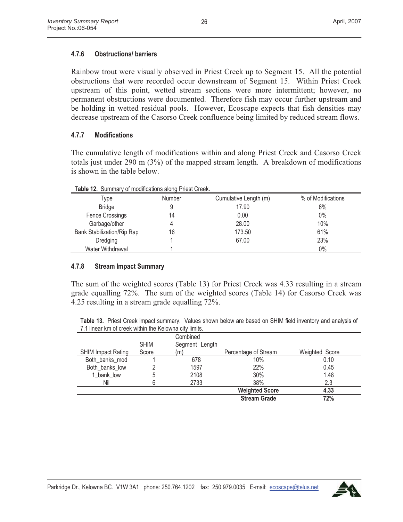## **4.7.6 Obstructions/ barriers**

Rainbow trout were visually observed in Priest Creek up to Segment 15. All the potential obstructions that were recorded occur downstream of Segment 15. Within Priest Creek upstream of this point, wetted stream sections were more intermittent; however, no permanent obstructions were documented. Therefore fish may occur further upstream and be holding in wetted residual pools. However, Ecoscape expects that fish densities may decrease upstream of the Casorso Creek confluence being limited by reduced stream flows.

#### **4.7.7 Modifications**

The cumulative length of modifications within and along Priest Creek and Casorso Creek totals just under 290 m (3%) of the mapped stream length. A breakdown of modifications is shown in the table below.

| <b>Table 12.</b> Summary of modifications along Priest Creek. |        |                       |                    |
|---------------------------------------------------------------|--------|-----------------------|--------------------|
| Type                                                          | Number | Cumulative Length (m) | % of Modifications |
| <b>Bridge</b>                                                 | 9      | 17.90                 | 6%                 |
| <b>Fence Crossings</b>                                        | 14     | 0.00                  | $0\%$              |
| Garbage/other                                                 | 4      | 28.00                 | 10%                |
| <b>Bank Stabilization/Rip Rap</b>                             | 16     | 173.50                | 61%                |
| Dredging                                                      |        | 67.00                 | 23%                |
| Water Withdrawal                                              |        |                       | $0\%$              |

#### **4.7.8 Stream Impact Summary**

The sum of the weighted scores (Table 13) for Priest Creek was 4.33 resulting in a stream grade equalling 72%. The sum of the weighted scores (Table 14) for Casorso Creek was 4.25 resulting in a stream grade equalling 72%.

**Table 13.** Priest Creek impact summary. Values shown below are based on SHIM field inventory and analysis of 7.1 linear km of creek within the Kelowna city limits.

|                           |             | Combined       |                       |                |
|---------------------------|-------------|----------------|-----------------------|----------------|
|                           | <b>SHIM</b> | Segment Length |                       |                |
| <b>SHIM Impact Rating</b> | Score       | (m)            | Percentage of Stream  | Weighted Score |
| Both banks mod            |             | 678            | 10%                   | 0.10           |
| Both_banks_low            |             | 1597           | 22%                   | 0.45           |
| 1 bank low                | 5           | 2108           | 30%                   | 1.48           |
| Nil                       | 6           | 2733           | 38%                   | 2.3            |
|                           |             |                | <b>Weighted Score</b> | 4.33           |
|                           |             |                | <b>Stream Grade</b>   | 72%            |

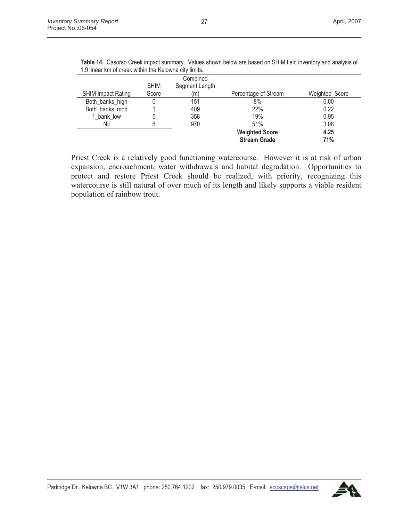|                           |             | Combined       |                       |                |
|---------------------------|-------------|----------------|-----------------------|----------------|
|                           | <b>SHIM</b> | Segment Length |                       |                |
| <b>SHIM Impact Rating</b> | Score       | (m)            | Percentage of Stream  | Weighted Score |
| Both_banks_high           |             | 151            | 8%                    | 0.00           |
| Both_banks_mod            |             | 409            | 22%                   | 0.22           |
| 1 bank low                | 5           | 358            | 19%                   | 0.95           |
| Nil                       | 6           | 970            | 51%                   | 3.08           |
|                           |             |                | <b>Weighted Score</b> | 4.25           |
|                           |             |                | <b>Stream Grade</b>   | 71%            |

**Table 14.** Casorso Creek impact summary. Values shown below are based on SHIM field inventory and analysis of 1.9 linear km of creek within the Kelowna city limits.

Priest Creek is a relatively good functioning watercourse. However it is at risk of urban expansion, encroachment, water withdrawals and habitat degradation. Opportunities to protect and restore Priest Creek should be realized, with priority, recognizing this watercourse is still natural of over much of its length and likely supports a viable resident population of rainbow trout.

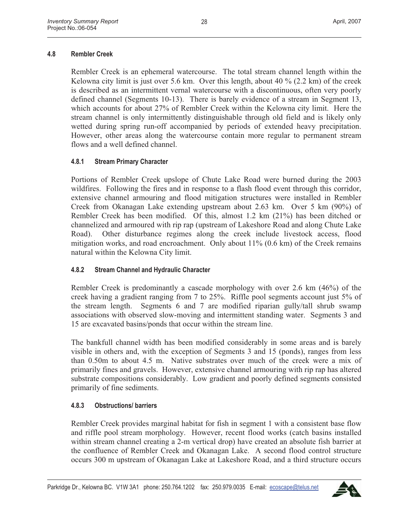## **4.8 Rembler Creek**

Rembler Creek is an ephemeral watercourse. The total stream channel length within the Kelowna city limit is just over 5.6 km. Over this length, about 40 % (2.2 km) of the creek is described as an intermittent vernal watercourse with a discontinuous, often very poorly defined channel (Segments 10-13). There is barely evidence of a stream in Segment 13, which accounts for about 27% of Rembler Creek within the Kelowna city limit. Here the stream channel is only intermittently distinguishable through old field and is likely only wetted during spring run-off accompanied by periods of extended heavy precipitation. However, other areas along the watercourse contain more regular to permanent stream flows and a well defined channel.

### **4.8.1 Stream Primary Character**

Portions of Rembler Creek upslope of Chute Lake Road were burned during the 2003 wildfires. Following the fires and in response to a flash flood event through this corridor, extensive channel armouring and flood mitigation structures were installed in Rembler Creek from Okanagan Lake extending upstream about 2.63 km. Over 5 km (90%) of Rembler Creek has been modified. Of this, almost 1.2 km (21%) has been ditched or channelized and armoured with rip rap (upstream of Lakeshore Road and along Chute Lake Road). Other disturbance regimes along the creek include livestock access, flood mitigation works, and road encroachment. Only about 11% (0.6 km) of the Creek remains natural within the Kelowna City limit.

# **4.8.2 Stream Channel and Hydraulic Character**

Rembler Creek is predominantly a cascade morphology with over 2.6 km (46%) of the creek having a gradient ranging from 7 to 25%. Riffle pool segments account just 5% of the stream length. Segments 6 and 7 are modified riparian gully/tall shrub swamp associations with observed slow-moving and intermittent standing water. Segments 3 and 15 are excavated basins/ponds that occur within the stream line.

The bankfull channel width has been modified considerably in some areas and is barely visible in others and, with the exception of Segments 3 and 15 (ponds), ranges from less than 0.50m to about 4.5 m. Native substrates over much of the creek were a mix of primarily fines and gravels. However, extensive channel armouring with rip rap has altered substrate compositions considerably. Low gradient and poorly defined segments consisted primarily of fine sediments.

# **4.8.3 Obstructions/ barriers**

Rembler Creek provides marginal habitat for fish in segment 1 with a consistent base flow and riffle pool stream morphology. However, recent flood works (catch basins installed within stream channel creating a 2-m vertical drop) have created an absolute fish barrier at the confluence of Rembler Creek and Okanagan Lake. A second flood control structure occurs 300 m upstream of Okanagan Lake at Lakeshore Road, and a third structure occurs

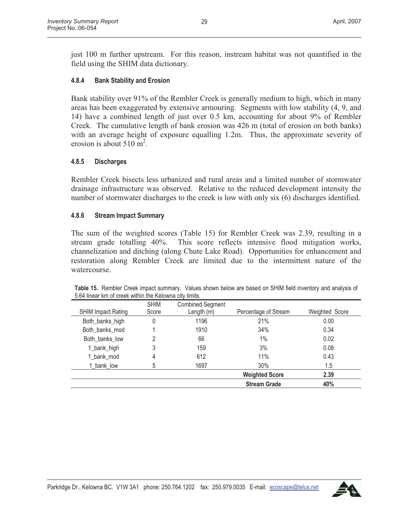just 100 m further upstream. For this reason, instream habitat was not quantified in the field using the SHIM data dictionary.

### **4.8.4 Bank Stability and Erosion**

Bank stability over 91% of the Rembler Creek is generally medium to high, which in many areas has been exaggerated by extensive armouring. Segments with low stability (4, 9, and 14) have a combined length of just over 0.5 km, accounting for about 9% of Rembler Creek. The cumulative length of bank erosion was 426 m (total of erosion on both banks) with an average height of exposure equalling 1.2m. Thus, the approximate severity of erosion is about  $510 \text{ m}^2$ .

#### **4.8.5 Discharges**

Rembler Creek bisects less urbanized and rural areas and a limited number of stormwater drainage infrastructure was observed. Relative to the reduced development intensity the number of stormwater discharges to the creek is low with only six (6) discharges identified.

#### **4.8.6 Stream Impact Summary**

The sum of the weighted scores (Table 15) for Rembler Creek was 2.39, resulting in a stream grade totalling 40%. This score reflects intensive flood mitigation works, channelization and ditching (along Chute Lake Road). Opportunities for enhancement and restoration along Rembler Creek are limited due to the intermittent nature of the watercourse.

|                           | <b>SHIM</b> | <b>Combined Segment</b> |                       |                |
|---------------------------|-------------|-------------------------|-----------------------|----------------|
| <b>SHIM Impact Rating</b> | Score       | Length (m)              | Percentage of Stream  | Weighted Score |
| Both_banks_high           |             | 1196                    | 21%                   | 0.00           |
| Both banks mod            |             | 1910                    | 34%                   | 0.34           |
| Both banks low            |             | 66                      | 1%                    | 0.02           |
| 1_bank_high               | 3           | 159                     | 3%                    | 0.08           |
| 1_bank_mod                | 4           | 612                     | 11%                   | 0.43           |
| 1 bank low                | 5           | 1697                    | 30%                   | 1.5            |
|                           |             |                         | <b>Weighted Score</b> | 2.39           |
|                           |             |                         | <b>Stream Grade</b>   | 40%            |

**Table 15.** Rembler Creek impact summary. Values shown below are based on SHIM field inventory and analysis of 5.64 linear km of creek within the Kelowna city limits.

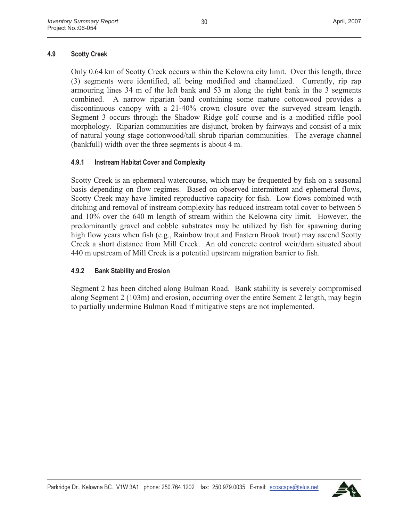#### **4.9 Scotty Creek**

Only 0.64 km of Scotty Creek occurs within the Kelowna city limit. Over this length, three (3) segments were identified, all being modified and channelized. Currently, rip rap armouring lines 34 m of the left bank and 53 m along the right bank in the 3 segments combined. A narrow riparian band containing some mature cottonwood provides a discontinuous canopy with a 21-40% crown closure over the surveyed stream length. Segment 3 occurs through the Shadow Ridge golf course and is a modified riffle pool morphology. Riparian communities are disjunct, broken by fairways and consist of a mix of natural young stage cottonwood/tall shrub riparian communities. The average channel (bankfull) width over the three segments is about 4 m.

### **4.9.1 Instream Habitat Cover and Complexity**

Scotty Creek is an ephemeral watercourse, which may be frequented by fish on a seasonal basis depending on flow regimes. Based on observed intermittent and ephemeral flows, Scotty Creek may have limited reproductive capacity for fish. Low flows combined with ditching and removal of instream complexity has reduced instream total cover to between 5 and 10% over the 640 m length of stream within the Kelowna city limit. However, the predominantly gravel and cobble substrates may be utilized by fish for spawning during high flow years when fish (e.g., Rainbow trout and Eastern Brook trout) may ascend Scotty Creek a short distance from Mill Creek. An old concrete control weir/dam situated about 440 m upstream of Mill Creek is a potential upstream migration barrier to fish.

#### **4.9.2 Bank Stability and Erosion**

Segment 2 has been ditched along Bulman Road. Bank stability is severely compromised along Segment 2 (103m) and erosion, occurring over the entire Sement 2 length, may begin to partially undermine Bulman Road if mitigative steps are not implemented.

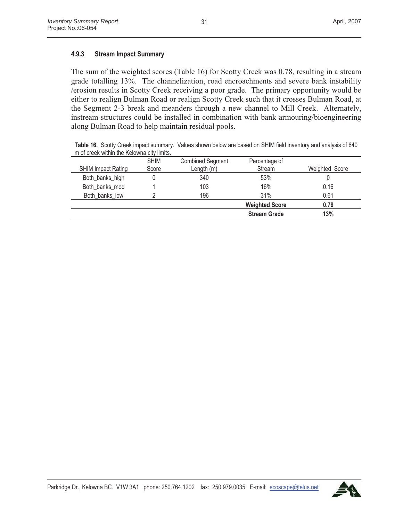## **4.9.3 Stream Impact Summary**

The sum of the weighted scores (Table 16) for Scotty Creek was 0.78, resulting in a stream grade totalling 13%. The channelization, road encroachments and severe bank instability /erosion results in Scotty Creek receiving a poor grade. The primary opportunity would be either to realign Bulman Road or realign Scotty Creek such that it crosses Bulman Road, at the Segment 2-3 break and meanders through a new channel to Mill Creek. Alternately, instream structures could be installed in combination with bank armouring/bioengineering along Bulman Road to help maintain residual pools.

**Table 16.** Scotty Creek impact summary. Values shown below are based on SHIM field inventory and analysis of 640 m of creek within the Kelowna city limits.

|                           | <b>SHIM</b> | <b>Combined Segment</b> | Percentage of         |                |
|---------------------------|-------------|-------------------------|-----------------------|----------------|
| <b>SHIM Impact Rating</b> | Score       | Length $(m)$            | Stream                | Weighted Score |
| Both_banks_high           |             | 340                     | 53%                   | U              |
| Both banks mod            |             | 103                     | 16%                   | 0.16           |
| Both banks low            |             | 196                     | 31%                   | 0.61           |
|                           |             |                         | <b>Weighted Score</b> | 0.78           |
|                           |             |                         | <b>Stream Grade</b>   | 13%            |

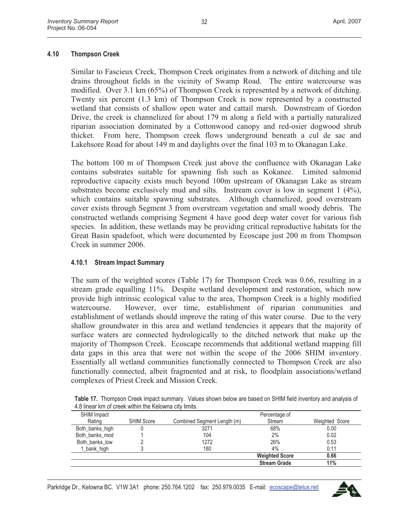#### **4.10 Thompson Creek**

Similar to Fascieux Creek, Thompson Creek originates from a network of ditching and tile drains throughout fields in the vicinity of Swamp Road. The entire watercourse was modified. Over 3.1 km (65%) of Thompson Creek is represented by a network of ditching. Twenty six percent (1.3 km) of Thompson Creek is now represented by a constructed wetland that consists of shallow open water and cattail marsh. Downstream of Gordon Drive, the creek is channelized for about 179 m along a field with a partially naturalized riparian association dominated by a Cottonwood canopy and red-osier dogwood shrub thicket. From here, Thompson creek flows underground beneath a cul de sac and Lakehsore Road for about 149 m and daylights over the final 103 m to Okanagan Lake.

The bottom 100 m of Thompson Creek just above the confluence with Okanagan Lake contains substrates suitable for spawning fish such as Kokanee. Limited salmonid reproductive capacity exists much beyond 100m upstream of Okanagan Lake as stream substrates become exclusively mud and silts. Instream cover is low in segment 1 (4%), which contains suitable spawning substrates. Although channelized, good overstream cover exists through Segment 3 from overstream vegetation and small woody debris. The constructed wetlands comprising Segment 4 have good deep water cover for various fish species. In addition, these wetlands may be providing critical reproductive habitats for the Great Basin spadefoot, which were documented by Ecoscape just 200 m from Thompson Creek in summer 2006.

#### **4.10.1 Stream Impact Summary**

The sum of the weighted scores (Table 17) for Thompson Creek was 0.66, resulting in a stream grade equalling 11%. Despite wetland development and restoration, which now provide high intrinsic ecological value to the area, Thompson Creek is a highly modified watercourse. However, over time, establishment of riparian communities and establishment of wetlands should improve the rating of this water course. Due to the very shallow groundwater in this area and wetland tendencies it appears that the majority of surface waters are connected hydrologically to the ditched network that make up the majority of Thompson Creek. Ecoscape recommends that additional wetland mapping fill data gaps in this area that were not within the scope of the 2006 SHIM inventory. Essentially all wetland communities functionally connected to Thompson Creek are also functionally connected, albeit fragmented and at risk, to floodplain associations/wetland complexes of Priest Creek and Mission Creek.

| 4.8 linear km of creek within the Kelowna city limits. |                   |                             |                       |                |
|--------------------------------------------------------|-------------------|-----------------------------|-----------------------|----------------|
| <b>SHIM Impact</b>                                     |                   |                             | Percentage of         |                |
| Rating                                                 | <b>SHIM Score</b> | Combined Segment Length (m) | Stream                | Weighted Score |
| Both_banks_high                                        |                   | 3271                        | 68%                   | 0.00           |
| Both banks mod                                         |                   | 104                         | 2%                    | 0.02           |
| Both banks low                                         |                   | 1272                        | 26%                   | 0.53           |
| 1_bank_high                                            |                   | 180                         | 4%                    | 0.11           |
|                                                        |                   |                             | <b>Weighted Score</b> | 0.66           |
|                                                        |                   |                             | <b>Stream Grade</b>   | 11%            |

**Table 17.** Thompson Creek impact summary. Values shown below are based on SHIM field inventory and analysis of 4.8 linear km of creek within the Kelowna city limits.

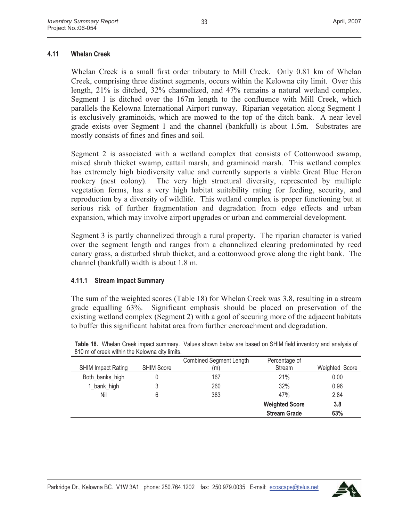#### **4.11 Whelan Creek**

Whelan Creek is a small first order tributary to Mill Creek. Only 0.81 km of Whelan Creek, comprising three distinct segments, occurs within the Kelowna city limit. Over this length, 21% is ditched, 32% channelized, and 47% remains a natural wetland complex. Segment 1 is ditched over the 167m length to the confluence with Mill Creek, which parallels the Kelowna International Airport runway. Riparian vegetation along Segment 1 is exclusively graminoids, which are mowed to the top of the ditch bank. A near level grade exists over Segment 1 and the channel (bankfull) is about 1.5m. Substrates are mostly consists of fines and fines and soil.

Segment 2 is associated with a wetland complex that consists of Cottonwood swamp, mixed shrub thicket swamp, cattail marsh, and graminoid marsh. This wetland complex has extremely high biodiversity value and currently supports a viable Great Blue Heron rookery (nest colony). The very high structural diversity, represented by multiple vegetation forms, has a very high habitat suitability rating for feeding, security, and reproduction by a diversity of wildlife. This wetland complex is proper functioning but at serious risk of further fragmentation and degradation from edge effects and urban expansion, which may involve airport upgrades or urban and commercial development.

Segment 3 is partly channelized through a rural property. The riparian character is varied over the segment length and ranges from a channelized clearing predominated by reed canary grass, a disturbed shrub thicket, and a cottonwood grove along the right bank. The channel (bankfull) width is about 1.8 m.

#### **4.11.1 Stream Impact Summary**

The sum of the weighted scores (Table 18) for Whelan Creek was 3.8, resulting in a stream grade equalling 63%. Significant emphasis should be placed on preservation of the existing wetland complex (Segment 2) with a goal of securing more of the adjacent habitats to buffer this significant habitat area from further encroachment and degradation.

|                           |                   | <b>Combined Segment Length</b> | Percentage of         |                |
|---------------------------|-------------------|--------------------------------|-----------------------|----------------|
| <b>SHIM Impact Rating</b> | <b>SHIM Score</b> | (m)                            | Stream                | Weighted Score |
| Both_banks_high           |                   | 167                            | 21%                   | 0.00           |
| 1_bank_high               |                   | 260                            | 32%                   | 0.96           |
| Nil                       |                   | 383                            | 47%                   | 2.84           |
|                           |                   |                                | <b>Weighted Score</b> | 3.8            |
|                           |                   |                                | <b>Stream Grade</b>   | 63%            |

**Table 18.** Whelan Creek impact summary. Values shown below are based on SHIM field inventory and analysis of 810 m of creek within the Kelowna city limits.

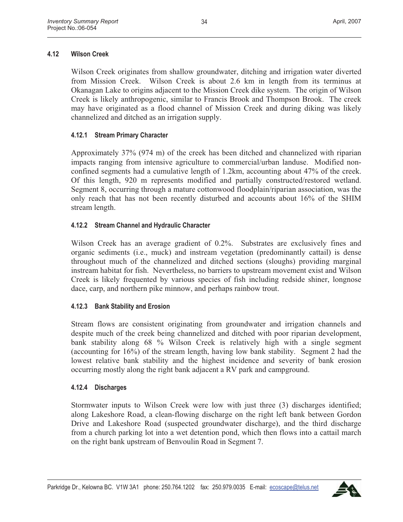# **4.12 Wilson Creek**

Wilson Creek originates from shallow groundwater, ditching and irrigation water diverted from Mission Creek. Wilson Creek is about 2.6 km in length from its terminus at Okanagan Lake to origins adjacent to the Mission Creek dike system. The origin of Wilson Creek is likely anthropogenic, similar to Francis Brook and Thompson Brook. The creek may have originated as a flood channel of Mission Creek and during diking was likely channelized and ditched as an irrigation supply.

# **4.12.1 Stream Primary Character**

Approximately 37% (974 m) of the creek has been ditched and channelized with riparian impacts ranging from intensive agriculture to commercial/urban landuse. Modified nonconfined segments had a cumulative length of 1.2km, accounting about 47% of the creek. Of this length, 920 m represents modified and partially constructed/restored wetland. Segment 8, occurring through a mature cottonwood floodplain/riparian association, was the only reach that has not been recently disturbed and accounts about 16% of the SHIM stream length.

# **4.12.2 Stream Channel and Hydraulic Character**

Wilson Creek has an average gradient of 0.2%. Substrates are exclusively fines and organic sediments (i.e., muck) and instream vegetation (predominantly cattail) is dense throughout much of the channelized and ditched sections (sloughs) providing marginal instream habitat for fish. Nevertheless, no barriers to upstream movement exist and Wilson Creek is likely frequented by various species of fish including redside shiner, longnose dace, carp, and northern pike minnow, and perhaps rainbow trout.

# **4.12.3 Bank Stability and Erosion**

Stream flows are consistent originating from groundwater and irrigation channels and despite much of the creek being channelized and ditched with poor riparian development, bank stability along 68 % Wilson Creek is relatively high with a single segment (accounting for 16%) of the stream length, having low bank stability. Segment 2 had the lowest relative bank stability and the highest incidence and severity of bank erosion occurring mostly along the right bank adjacent a RV park and campground.

#### **4.12.4 Discharges**

Stormwater inputs to Wilson Creek were low with just three (3) discharges identified; along Lakeshore Road, a clean-flowing discharge on the right left bank between Gordon Drive and Lakeshore Road (suspected groundwater discharge), and the third discharge from a church parking lot into a wet detention pond, which then flows into a cattail march on the right bank upstream of Benvoulin Road in Segment 7.

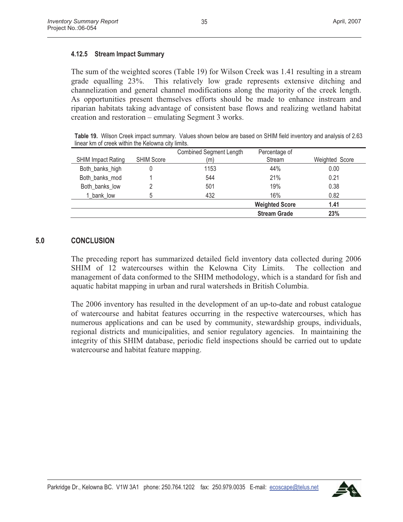#### **4.12.5 Stream Impact Summary**

The sum of the weighted scores (Table 19) for Wilson Creek was 1.41 resulting in a stream grade equalling 23%. This relatively low grade represents extensive ditching and channelization and general channel modifications along the majority of the creek length. As opportunities present themselves efforts should be made to enhance instream and riparian habitats taking advantage of consistent base flows and realizing wetland habitat creation and restoration – emulating Segment 3 works.

**Table 19.** Wilson Creek impact summary. Values shown below are based on SHIM field inventory and analysis of 2.63 linear km of creek within the Kelowna city limits.

|                           |                   | <b>Combined Segment Length</b> | Percentage of         |                |
|---------------------------|-------------------|--------------------------------|-----------------------|----------------|
| <b>SHIM Impact Rating</b> | <b>SHIM Score</b> | (m)                            | Stream                | Weighted Score |
| Both_banks_high           |                   | 1153                           | 44%                   | 0.00           |
| Both banks mod            |                   | 544                            | 21%                   | 0.21           |
| Both banks low            |                   | 501                            | 19%                   | 0.38           |
| 1 bank low                | 5                 | 432                            | 16%                   | 0.82           |
|                           |                   |                                | <b>Weighted Score</b> | 1.41           |
|                           |                   |                                | <b>Stream Grade</b>   | 23%            |

#### **5.0 CONCLUSION**

The preceding report has summarized detailed field inventory data collected during 2006 SHIM of 12 watercourses within the Kelowna City Limits. The collection and management of data conformed to the SHIM methodology, which is a standard for fish and aquatic habitat mapping in urban and rural watersheds in British Columbia.

The 2006 inventory has resulted in the development of an up-to-date and robust catalogue of watercourse and habitat features occurring in the respective watercourses, which has numerous applications and can be used by community, stewardship groups, individuals, regional districts and municipalities, and senior regulatory agencies. In maintaining the integrity of this SHIM database, periodic field inspections should be carried out to update watercourse and habitat feature mapping.

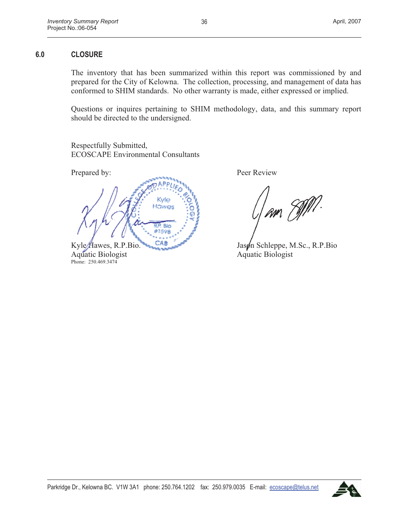The inventory that has been summarized within this report was commissioned by and prepared for the City of Kelowna. The collection, processing, and management of data has conformed to SHIM standards. No other warranty is made, either expressed or implied.

36

Questions or inquires pertaining to SHIM methodology, data, and this summary report should be directed to the undersigned.

Respectfully Submitted, ECOSCAPE Environmental Consultants



Phone: 250.469.3474

Prepared by: Peer Review

am EMP.

Aquatic Biologist Aquatic Biologist